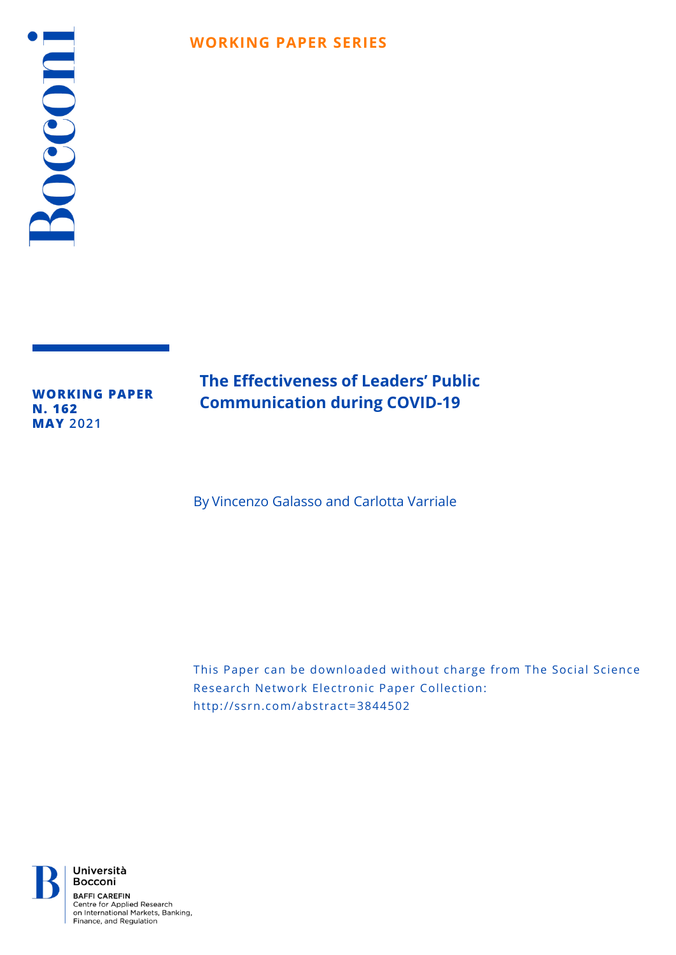# Bocconi

# **WORKING PAPER SERIES**

**WORKING PAPER N. 162 MAY 2021**

# **The Effectiveness of Leaders' Public Communication during COVID-19**

By Vincenzo Galasso and Carlotta Varriale

This Paper can be downloaded without charge from The Social Science Research Network Electronic Paper Collection: http://ssrn.com/abstract=3844502



Università Bocconi **BAFFI CAREFIN** Centre for Applied Research on International Markets, Banking,<br>Finance, and Regulation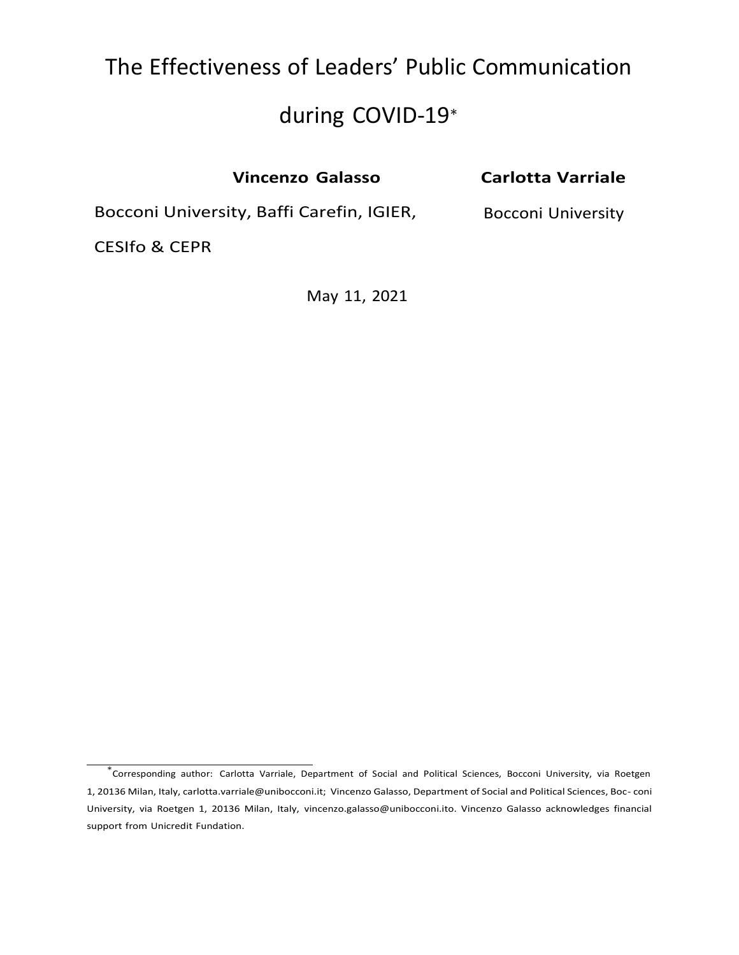# The Effectiveness of Leaders' Public Communication

# during COVID-19<sup>∗</sup>

| <b>Vincenzo Galasso</b>                   | <b>Carlotta Varriale</b>  |
|-------------------------------------------|---------------------------|
| Bocconi University, Baffi Carefin, IGIER, | <b>Bocconi University</b> |
| <b>CESIfo &amp; CEPR</b>                  |                           |

May 11, 2021

<sup>∗</sup> Corresponding author: Carlotta Varriale, Department of Social and Political Sciences, Bocconi University, via Roetgen 1, 20136 Milan, Italy, carlotta.varriale@unibocconi.it; Vincenzo Galasso, Department of Social and Political Sciences, Boc- coni University, via Roetgen 1, 20136 Milan, Italy, [vincenzo.galasso@unibocconi.ito.](mailto:vincenzo.galasso@unibocconi.ito) Vincenzo Galasso acknowledges financial support from Unicredit Fundation.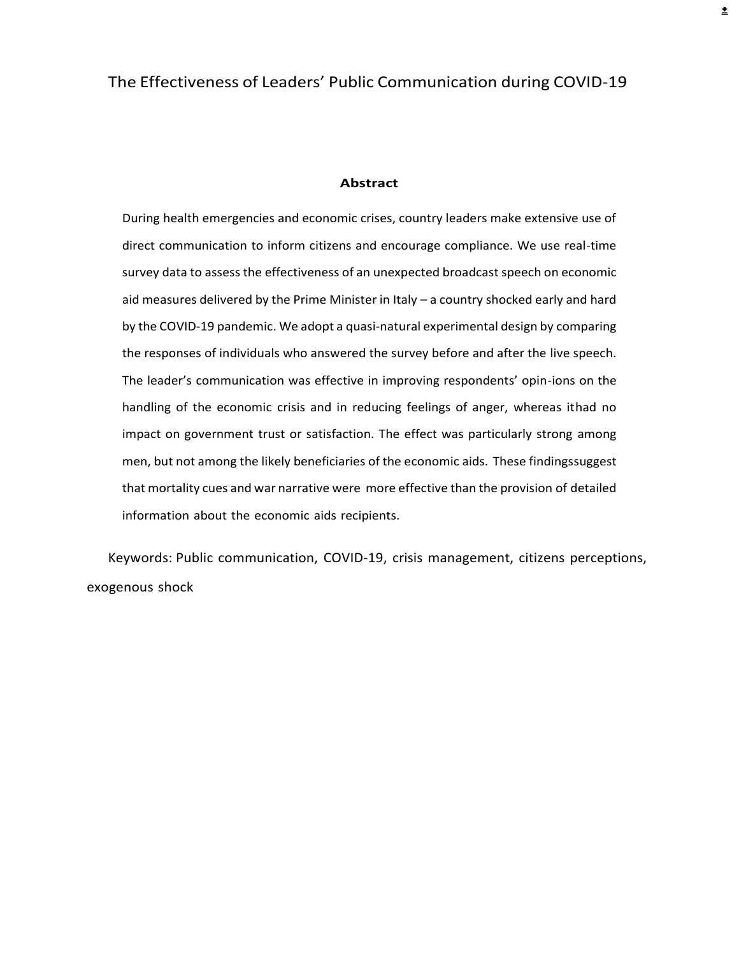#### **Abstract**

During health emergencies and economic crises, country leaders make extensive use of direct communication to inform citizens and encourage compliance. We use real-time survey data to assess the effectiveness of an unexpected broadcast speech on economic aid measures delivered by the Prime Minister in Italy – a country shocked early and hard by the COVID-19 pandemic. We adopt a quasi-natural experimental design by comparing the responses of individuals who answered the survey before and after the live speech. The leader's communication was effective in improving respondents' opin-ions on the handling of the economic crisis and in reducing feelings of anger, whereas ithad no impact on government trust or satisfaction. The effect was particularly strong among men, but not among the likely beneficiaries of the economic aids. These findingssuggest that mortality cues and war narrative were more effective than the provision of detailed information about the economic aids recipients.

Keywords: Public communication, COVID-19, crisis management, citizens perceptions, exogenous shock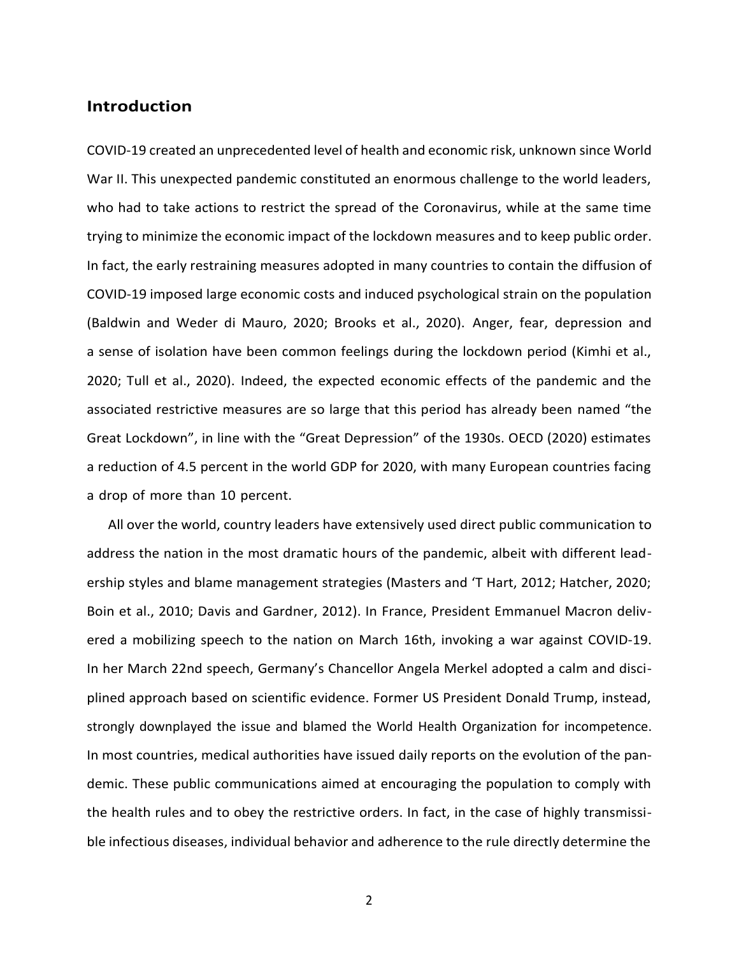# **Introduction**

COVID-19 created an unprecedented level of health and economic risk, unknown since World War II. This unexpected pandemic constituted an enormous challenge to the world leaders, who had to take actions to restrict the spread of the Coronavirus, while at the same time trying to minimize the economic impact of the lockdown measures and to keep public order. In fact, the early restraining measures adopted in many countries to contain the diffusion of COVID-19 imposed large economic costs and induced psychological strain on the population (Baldwin and Weder di Mauro, 2020; Brooks et al., 2020). Anger, fear, depression and a sense of isolation have been common feelings during the lockdown period (Kimhi et al., 2020; Tull et al., 2020). Indeed, the expected economic effects of the pandemic and the associated restrictive measures are so large that this period has already been named "the Great Lockdown", in line with the "Great Depression" of the 1930s. OECD (2020) estimates a reduction of 4.5 percent in the world GDP for 2020, with many European countries facing a drop of more than 10 percent.

All over the world, country leaders have extensively used direct public communication to address the nation in the most dramatic hours of the pandemic, albeit with different leadership styles and blame management strategies (Masters and 'T Hart, 2012; Hatcher, 2020; Boin et al., 2010; Davis and Gardner, 2012). In France, President Emmanuel Macron delivered a mobilizing speech to the nation on March 16th, invoking a war against COVID-19. In her March 22nd speech, Germany's Chancellor Angela Merkel adopted a calm and disciplined approach based on scientific evidence. Former US President Donald Trump, instead, strongly downplayed the issue and blamed the World Health Organization for incompetence. In most countries, medical authorities have issued daily reports on the evolution of the pandemic. These public communications aimed at encouraging the population to comply with the health rules and to obey the restrictive orders. In fact, in the case of highly transmissible infectious diseases, individual behavior and adherence to the rule directly determine the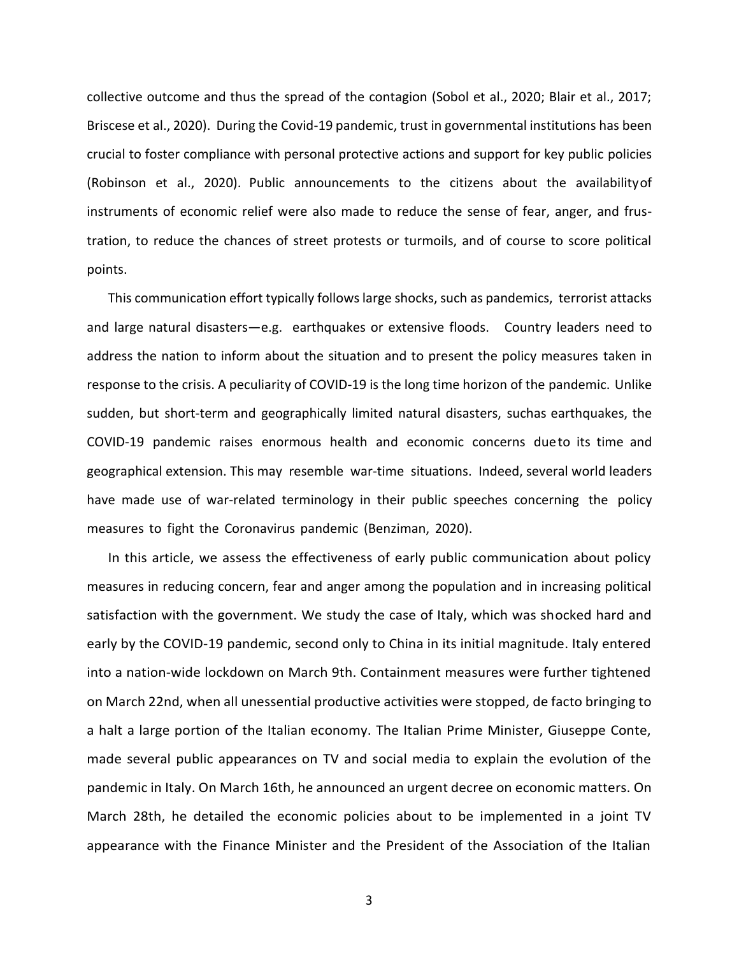collective outcome and thus the spread of the contagion (Sobol et al., 2020; Blair et al., 2017; Briscese et al., 2020). During the Covid-19 pandemic, trust in governmental institutions has been crucial to foster compliance with personal protective actions and support for key public policies (Robinson et al., 2020). Public announcements to the citizens about the availabilityof instruments of economic relief were also made to reduce the sense of fear, anger, and frustration, to reduce the chances of street protests or turmoils, and of course to score political points.

This communication effort typically followslarge shocks, such as pandemics, terrorist attacks and large natural disasters—e.g. earthquakes or extensive floods. Country leaders need to address the nation to inform about the situation and to present the policy measures taken in response to the crisis. A peculiarity of COVID-19 is the long time horizon of the pandemic. Unlike sudden, but short-term and geographically limited natural disasters, suchas earthquakes, the COVID-19 pandemic raises enormous health and economic concerns dueto its time and geographical extension. This may resemble war-time situations. Indeed, several world leaders have made use of war-related terminology in their public speeches concerning the policy measures to fight the Coronavirus pandemic (Benziman, 2020).

In this article, we assess the effectiveness of early public communication about policy measures in reducing concern, fear and anger among the population and in increasing political satisfaction with the government. We study the case of Italy, which was shocked hard and early by the COVID-19 pandemic, second only to China in its initial magnitude. Italy entered into a nation-wide lockdown on March 9th. Containment measures were further tightened on March 22nd, when all unessential productive activities were stopped, de facto bringing to a halt a large portion of the Italian economy. The Italian Prime Minister, Giuseppe Conte, made several public appearances on TV and social media to explain the evolution of the pandemic in Italy. On March 16th, he announced an urgent decree on economic matters. On March 28th, he detailed the economic policies about to be implemented in a joint TV appearance with the Finance Minister and the President of the Association of the Italian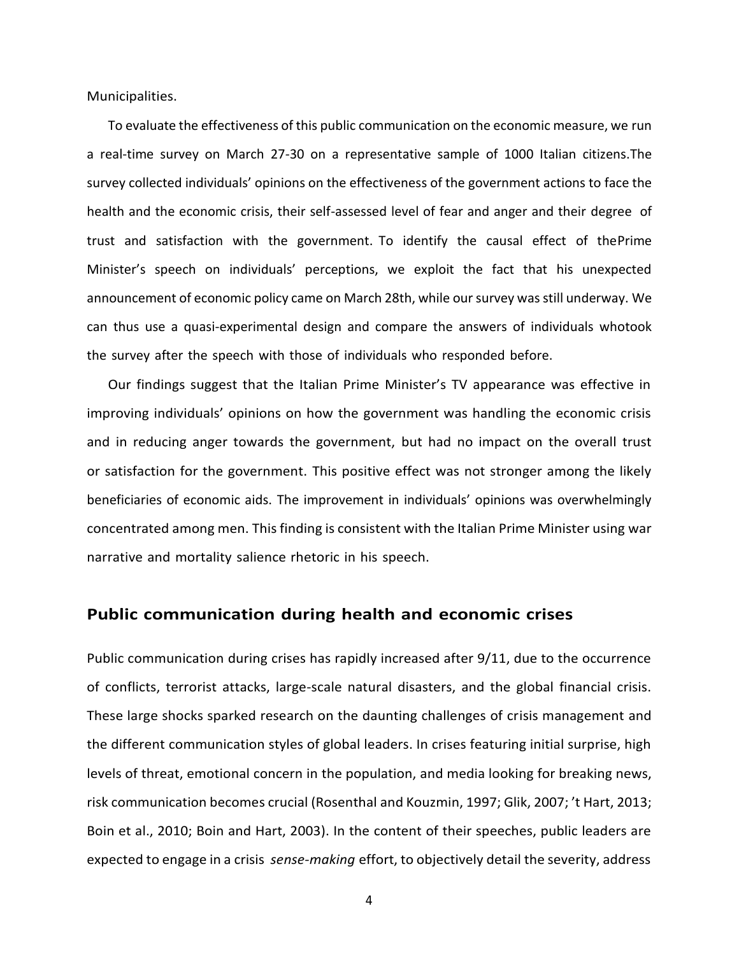Municipalities.

To evaluate the effectiveness of this public communication on the economic measure, we run a real-time survey on March 27-30 on a representative sample of 1000 Italian citizens.The survey collected individuals' opinions on the effectiveness of the government actions to face the health and the economic crisis, their self-assessed level of fear and anger and their degree of trust and satisfaction with the government. To identify the causal effect of thePrime Minister's speech on individuals' perceptions, we exploit the fact that his unexpected announcement of economic policy came on March 28th, while our survey was still underway. We can thus use a quasi-experimental design and compare the answers of individuals whotook the survey after the speech with those of individuals who responded before.

Our findings suggest that the Italian Prime Minister's TV appearance was effective in improving individuals' opinions on how the government was handling the economic crisis and in reducing anger towards the government, but had no impact on the overall trust or satisfaction for the government. This positive effect was not stronger among the likely beneficiaries of economic aids. The improvement in individuals' opinions was overwhelmingly concentrated among men. This finding is consistent with the Italian Prime Minister using war narrative and mortality salience rhetoric in his speech.

#### **Public communication during health and economic crises**

Public communication during crises has rapidly increased after 9/11, due to the occurrence of conflicts, terrorist attacks, large-scale natural disasters, and the global financial crisis. These large shocks sparked research on the daunting challenges of crisis management and the different communication styles of global leaders. In crises featuring initial surprise, high levels of threat, emotional concern in the population, and media looking for breaking news, risk communication becomes crucial (Rosenthal and Kouzmin, 1997; Glik, 2007; 't Hart, 2013; Boin et al., 2010; Boin and Hart, 2003). In the content of their speeches, public leaders are expected to engage in a crisis *sense-making* effort, to objectively detail the severity, address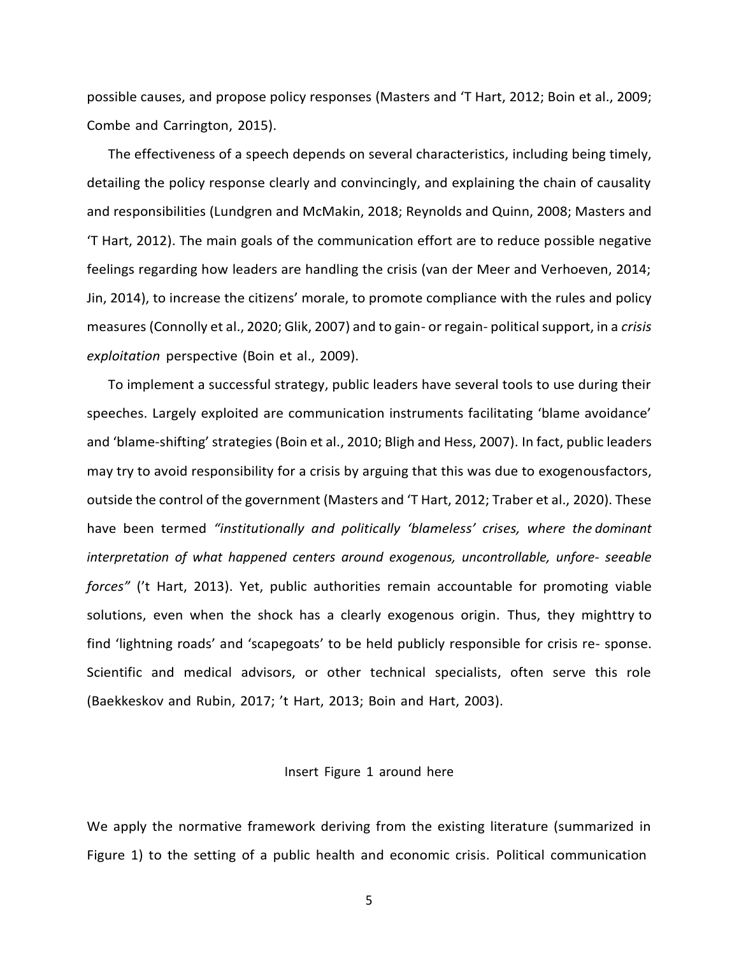possible causes, and propose policy responses (Masters and 'T Hart, 2012; Boin et al., 2009; Combe and Carrington, 2015).

The effectiveness of a speech depends on several characteristics, including being timely, detailing the policy response clearly and convincingly, and explaining the chain of causality and responsibilities (Lundgren and McMakin, 2018; Reynolds and Quinn, 2008; Masters and 'T Hart, 2012). The main goals of the communication effort are to reduce possible negative feelings regarding how leaders are handling the crisis (van der Meer and Verhoeven, 2014; Jin, 2014), to increase the citizens' morale, to promote compliance with the rules and policy measures (Connolly et al., 2020; Glik, 2007) and to gain- or regain- political support, in a *crisis exploitation* perspective (Boin et al., 2009).

To implement a successful strategy, public leaders have several tools to use during their speeches. Largely exploited are communication instruments facilitating 'blame avoidance' and 'blame-shifting' strategies (Boin et al., 2010; Bligh and Hess, 2007). In fact, public leaders may try to avoid responsibility for a crisis by arguing that this was due to exogenousfactors, outside the control of the government (Masters and 'T Hart, 2012; Traber et al., 2020). These have been termed *"institutionally and politically 'blameless' crises, where the dominant interpretation of what happened centers around exogenous, uncontrollable, unfore- seeable forces"* ('t Hart, 2013). Yet, public authorities remain accountable for promoting viable solutions, even when the shock has a clearly exogenous origin. Thus, they mighttry to find 'lightning roads' and 'scapegoats' to be held publicly responsible for crisis re- sponse. Scientific and medical advisors, or other technical specialists, often serve this role (Baekkeskov and Rubin, 2017; 't Hart, 2013; Boin and Hart, 2003).

#### Insert Figure 1 around here

We apply the normative framework deriving from the existing literature (summarized in Figure 1) to the setting of a public health and economic crisis. Political communication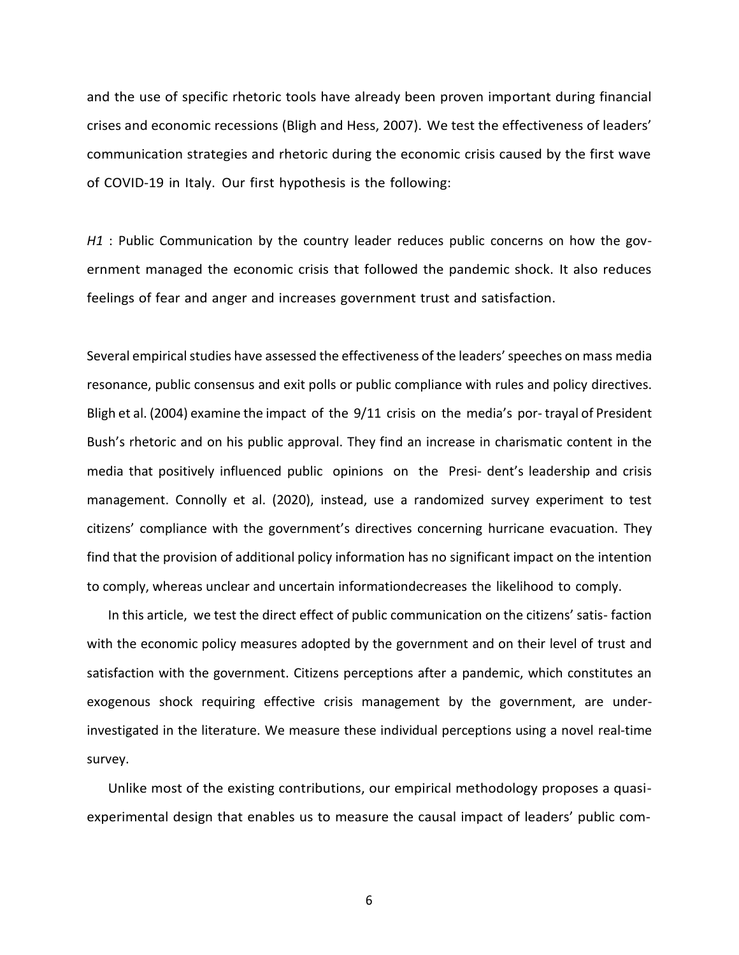and the use of specific rhetoric tools have already been proven important during financial crises and economic recessions (Bligh and Hess, 2007). We test the effectiveness of leaders' communication strategies and rhetoric during the economic crisis caused by the first wave of COVID-19 in Italy. Our first hypothesis is the following:

*H1* : Public Communication by the country leader reduces public concerns on how the government managed the economic crisis that followed the pandemic shock. It also reduces feelings of fear and anger and increases government trust and satisfaction.

Several empirical studies have assessed the effectiveness of the leaders' speeches on mass media resonance, public consensus and exit polls or public compliance with rules and policy directives. Bligh et al. (2004) examine the impact of the 9/11 crisis on the media's por- trayal of President Bush's rhetoric and on his public approval. They find an increase in charismatic content in the media that positively influenced public opinions on the Presi- dent's leadership and crisis management. Connolly et al. (2020), instead, use a randomized survey experiment to test citizens' compliance with the government's directives concerning hurricane evacuation. They find that the provision of additional policy information has no significant impact on the intention to comply, whereas unclear and uncertain informationdecreases the likelihood to comply.

In this article, we test the direct effect of public communication on the citizens' satis- faction with the economic policy measures adopted by the government and on their level of trust and satisfaction with the government. Citizens perceptions after a pandemic, which constitutes an exogenous shock requiring effective crisis management by the government, are underinvestigated in the literature. We measure these individual perceptions using a novel real-time survey.

Unlike most of the existing contributions, our empirical methodology proposes a quasiexperimental design that enables us to measure the causal impact of leaders' public com-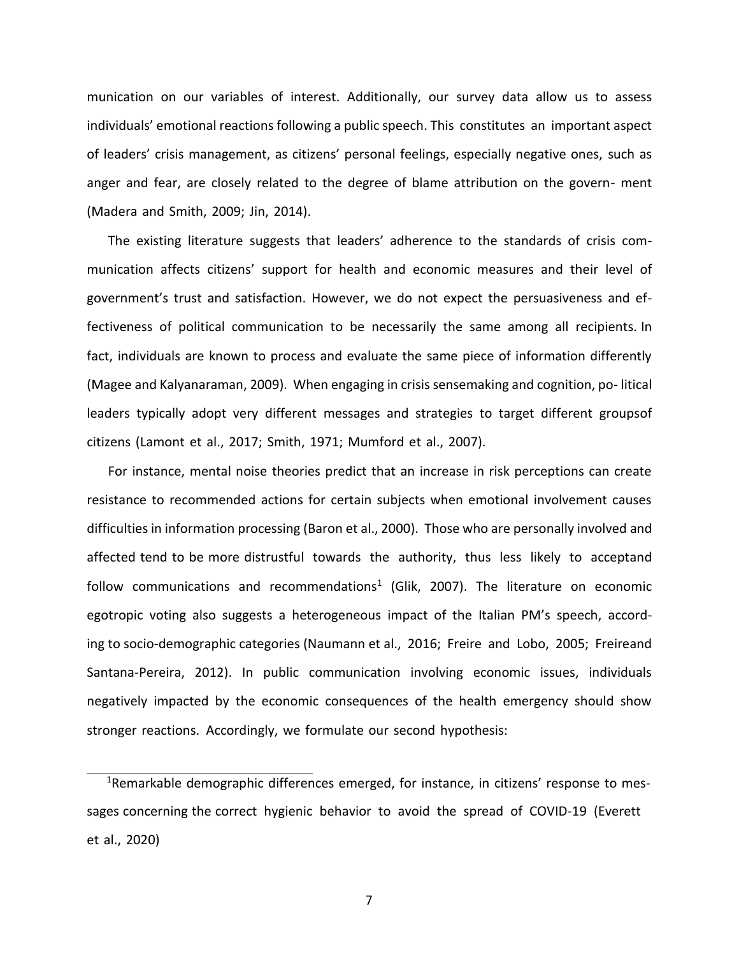munication on our variables of interest. Additionally, our survey data allow us to assess individuals' emotional reactions following a public speech. This constitutes an important aspect of leaders' crisis management, as citizens' personal feelings, especially negative ones, such as anger and fear, are closely related to the degree of blame attribution on the govern- ment (Madera and Smith, 2009; Jin, 2014).

The existing literature suggests that leaders' adherence to the standards of crisis communication affects citizens' support for health and economic measures and their level of government's trust and satisfaction. However, we do not expect the persuasiveness and effectiveness of political communication to be necessarily the same among all recipients. In fact, individuals are known to process and evaluate the same piece of information differently (Magee and Kalyanaraman, 2009). When engaging in crisis sensemaking and cognition, po- litical leaders typically adopt very different messages and strategies to target different groupsof citizens (Lamont et al., 2017; Smith, 1971; Mumford et al., 2007).

For instance, mental noise theories predict that an increase in risk perceptions can create resistance to recommended actions for certain subjects when emotional involvement causes difficulties in information processing (Baron et al., 2000). Those who are personally involved and affected tend to be more distrustful towards the authority, thus less likely to acceptand follow communications and recommendations<sup>1</sup> (Glik, 2007). The literature on economic egotropic voting also suggests a heterogeneous impact of the Italian PM's speech, according to socio-demographic categories (Naumann et al., 2016; Freire and Lobo, 2005; Freireand Santana-Pereira, 2012). In public communication involving economic issues, individuals negatively impacted by the economic consequences of the health emergency should show stronger reactions. Accordingly, we formulate our second hypothesis:

<sup>&</sup>lt;sup>1</sup>Remarkable demographic differences emerged, for instance, in citizens' response to messages concerning the correct hygienic behavior to avoid the spread of COVID-19 (Everett et al., 2020)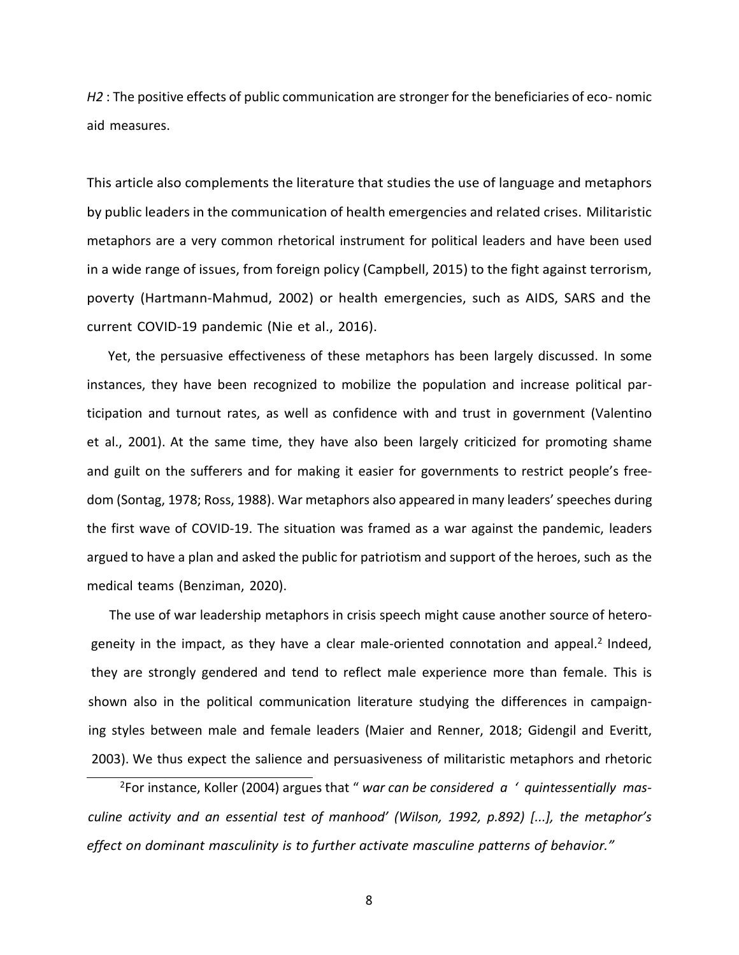*H2* : The positive effects of public communication are stronger for the beneficiaries of eco- nomic aid measures.

This article also complements the literature that studies the use of language and metaphors by public leaders in the communication of health emergencies and related crises. Militaristic metaphors are a very common rhetorical instrument for political leaders and have been used in a wide range of issues, from foreign policy (Campbell, 2015) to the fight against terrorism, poverty (Hartmann-Mahmud, 2002) or health emergencies, such as AIDS, SARS and the current COVID-19 pandemic (Nie et al., 2016).

Yet, the persuasive effectiveness of these metaphors has been largely discussed. In some instances, they have been recognized to mobilize the population and increase political participation and turnout rates, as well as confidence with and trust in government (Valentino et al., 2001). At the same time, they have also been largely criticized for promoting shame and guilt on the sufferers and for making it easier for governments to restrict people's freedom (Sontag, 1978; Ross, 1988). War metaphors also appeared in many leaders' speeches during the first wave of COVID-19. The situation was framed as a war against the pandemic, leaders argued to have a plan and asked the public for patriotism and support of the heroes, such as the medical teams (Benziman, 2020).

The use of war leadership metaphors in crisis speech might cause another source of heterogeneity in the impact, as they have a clear male-oriented connotation and appeal.<sup>2</sup> Indeed, they are strongly gendered and tend to reflect male experience more than female. This is shown also in the political communication literature studying the differences in campaigning styles between male and female leaders (Maier and Renner, 2018; Gidengil and Everitt, 2003). We thus expect the salience and persuasiveness of militaristic metaphors and rhetoric

<sup>2</sup>For instance, Koller (2004) argues that " *war can be considered a ' quintessentially masculine activity and an essential test of manhood' (Wilson, 1992, p.892) [...], the metaphor's effect on dominant masculinity is to further activate masculine patterns of behavior."*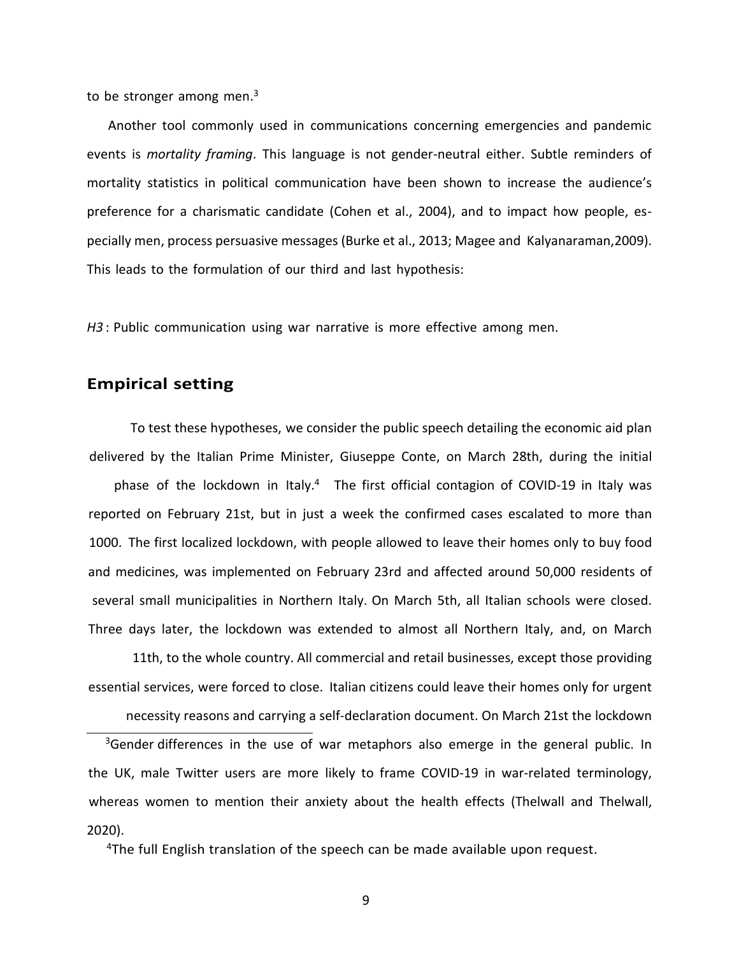to be stronger among men. $3$ 

Another tool commonly used in communications concerning emergencies and pandemic events is *mortality framing*. This language is not gender-neutral either. Subtle reminders of mortality statistics in political communication have been shown to increase the audience's preference for a charismatic candidate (Cohen et al., 2004), and to impact how people, especially men, process persuasive messages (Burke et al., 2013; Magee and Kalyanaraman,2009). This leads to the formulation of our third and last hypothesis:

*H3* : Public communication using war narrative is more effective among men.

# **Empirical setting**

To test these hypotheses, we consider the public speech detailing the economic aid plan delivered by the Italian Prime Minister, Giuseppe Conte, on March 28th, during the initial

phase of the lockdown in Italy.<sup>4</sup> The first official contagion of COVID-19 in Italy was reported on February 21st, but in just a week the confirmed cases escalated to more than 1000. The first localized lockdown, with people allowed to leave their homes only to buy food and medicines, was implemented on February 23rd and affected around 50,000 residents of several small municipalities in Northern Italy. On March 5th, all Italian schools were closed. Three days later, the lockdown was extended to almost all Northern Italy, and, on March

11th, to the whole country. All commercial and retail businesses, except those providing essential services, were forced to close. Italian citizens could leave their homes only for urgent

necessity reasons and carrying a self-declaration document. On March 21st the lockdown

<sup>3</sup>Gender differences in the use of war metaphors also emerge in the general public. In the UK, male Twitter users are more likely to frame COVID-19 in war-related terminology, whereas women to mention their anxiety about the health effects (Thelwall and Thelwall, 2020).

<sup>4</sup>The full English translation of the speech can be made available upon request.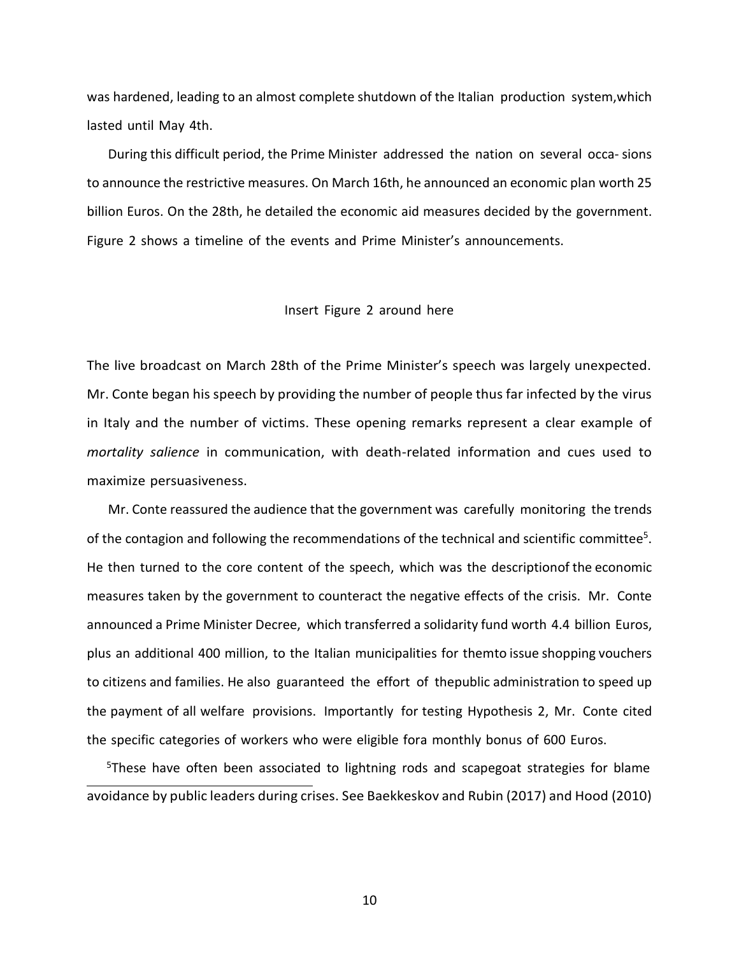was hardened, leading to an almost complete shutdown of the Italian production system,which lasted until May 4th.

During this difficult period, the Prime Minister addressed the nation on several occa- sions to announce the restrictive measures. On March 16th, he announced an economic plan worth 25 billion Euros. On the 28th, he detailed the economic aid measures decided by the government. Figure 2 shows a timeline of the events and Prime Minister's announcements.

#### Insert Figure 2 around here

The live broadcast on March 28th of the Prime Minister's speech was largely unexpected. Mr. Conte began his speech by providing the number of people thus far infected by the virus in Italy and the number of victims. These opening remarks represent a clear example of *mortality salience* in communication, with death-related information and cues used to maximize persuasiveness.

Mr. Conte reassured the audience that the government was carefully monitoring the trends of the contagion and following the recommendations of the technical and scientific committee<sup>5</sup>. He then turned to the core content of the speech, which was the descriptionof the economic measures taken by the government to counteract the negative effects of the crisis. Mr. Conte announced a Prime Minister Decree, which transferred a solidarity fund worth 4.4 billion Euros, plus an additional 400 million, to the Italian municipalities for themto issue shopping vouchers to citizens and families. He also guaranteed the effort of thepublic administration to speed up the payment of all welfare provisions. Importantly for testing Hypothesis 2, Mr. Conte cited the specific categories of workers who were eligible fora monthly bonus of 600 Euros.

<sup>5</sup>These have often been associated to lightning rods and scapegoat strategies for blame avoidance by public leaders during crises. See Baekkeskov and Rubin (2017) and Hood (2010)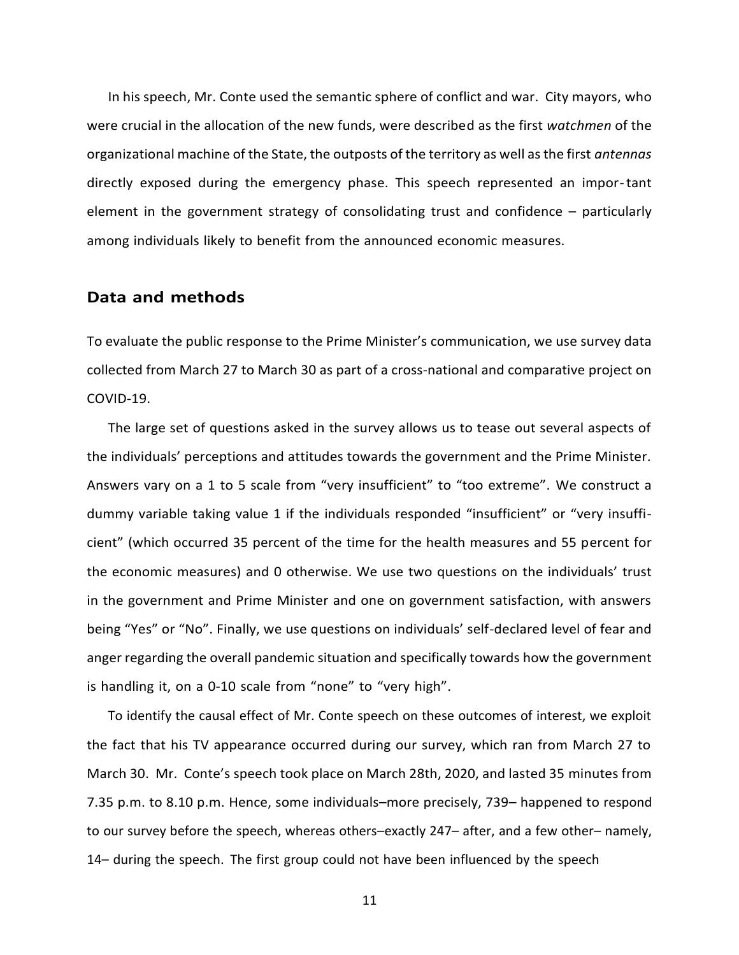In his speech, Mr. Conte used the semantic sphere of conflict and war. City mayors, who were crucial in the allocation of the new funds, were described as the first *watchmen* of the organizational machine of the State, the outposts of the territory as well as the first *antennas*  directly exposed during the emergency phase. This speech represented an impor-tant element in the government strategy of consolidating trust and confidence – particularly among individuals likely to benefit from the announced economic measures.

#### **Data and methods**

To evaluate the public response to the Prime Minister's communication, we use survey data collected from March 27 to March 30 as part of a cross-national and comparative project on COVID-19.

The large set of questions asked in the survey allows us to tease out several aspects of the individuals' perceptions and attitudes towards the government and the Prime Minister. Answers vary on a 1 to 5 scale from "very insufficient" to "too extreme". We construct a dummy variable taking value 1 if the individuals responded "insufficient" or "very insufficient" (which occurred 35 percent of the time for the health measures and 55 percent for the economic measures) and 0 otherwise. We use two questions on the individuals' trust in the government and Prime Minister and one on government satisfaction, with answers being "Yes" or "No". Finally, we use questions on individuals' self-declared level of fear and anger regarding the overall pandemic situation and specifically towards how the government is handling it, on a 0-10 scale from "none" to "very high".

To identify the causal effect of Mr. Conte speech on these outcomes of interest, we exploit the fact that his TV appearance occurred during our survey, which ran from March 27 to March 30. Mr. Conte's speech took place on March 28th, 2020, and lasted 35 minutes from 7.35 p.m. to 8.10 p.m. Hence, some individuals–more precisely, 739– happened to respond to our survey before the speech, whereas others–exactly 247– after, and a few other– namely, 14– during the speech. The first group could not have been influenced by the speech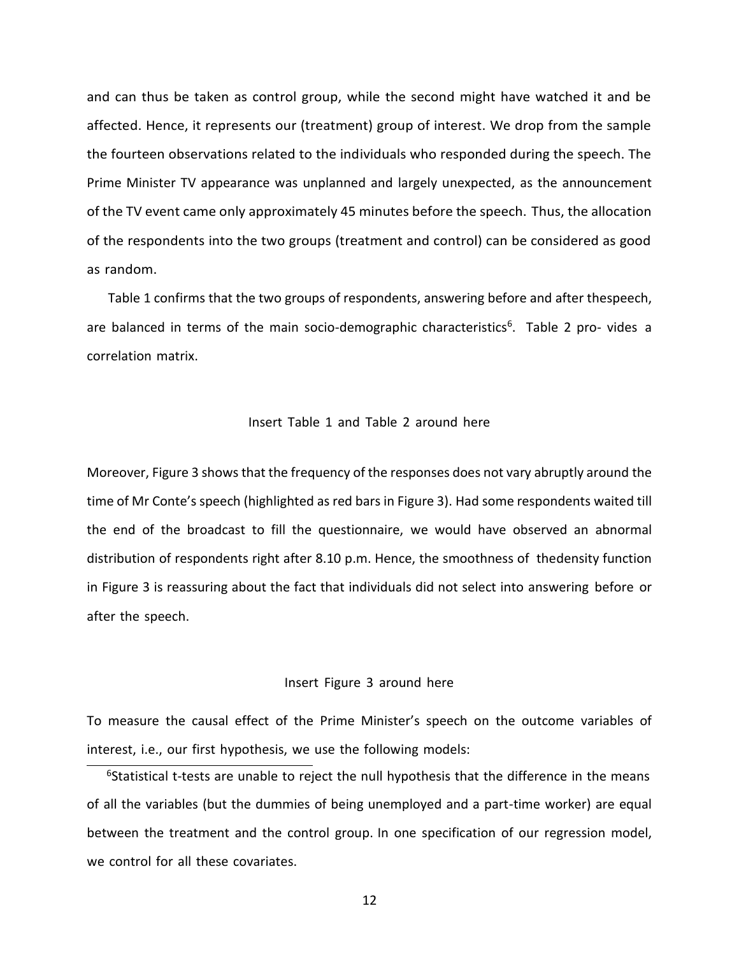and can thus be taken as control group, while the second might have watched it and be affected. Hence, it represents our (treatment) group of interest. We drop from the sample the fourteen observations related to the individuals who responded during the speech. The Prime Minister TV appearance was unplanned and largely unexpected, as the announcement of the TV event came only approximately 45 minutes before the speech. Thus, the allocation of the respondents into the two groups (treatment and control) can be considered as good as random.

Table 1 confirms that the two groups of respondents, answering before and after thespeech, are balanced in terms of the main socio-demographic characteristics<sup>6</sup>. Table 2 pro- vides a correlation matrix.

#### Insert Table 1 and Table 2 around here

Moreover, Figure 3 shows that the frequency of the responses does not vary abruptly around the time of Mr Conte's speech (highlighted as red bars in Figure 3). Had some respondents waited till the end of the broadcast to fill the questionnaire, we would have observed an abnormal distribution of respondents right after 8.10 p.m. Hence, the smoothness of thedensity function in Figure 3 is reassuring about the fact that individuals did not select into answering before or after the speech.

#### Insert Figure 3 around here

To measure the causal effect of the Prime Minister's speech on the outcome variables of interest, i.e., our first hypothesis, we use the following models:

 $6$ Statistical t-tests are unable to reject the null hypothesis that the difference in the means of all the variables (but the dummies of being unemployed and a part-time worker) are equal between the treatment and the control group. In one specification of our regression model, we control for all these covariates.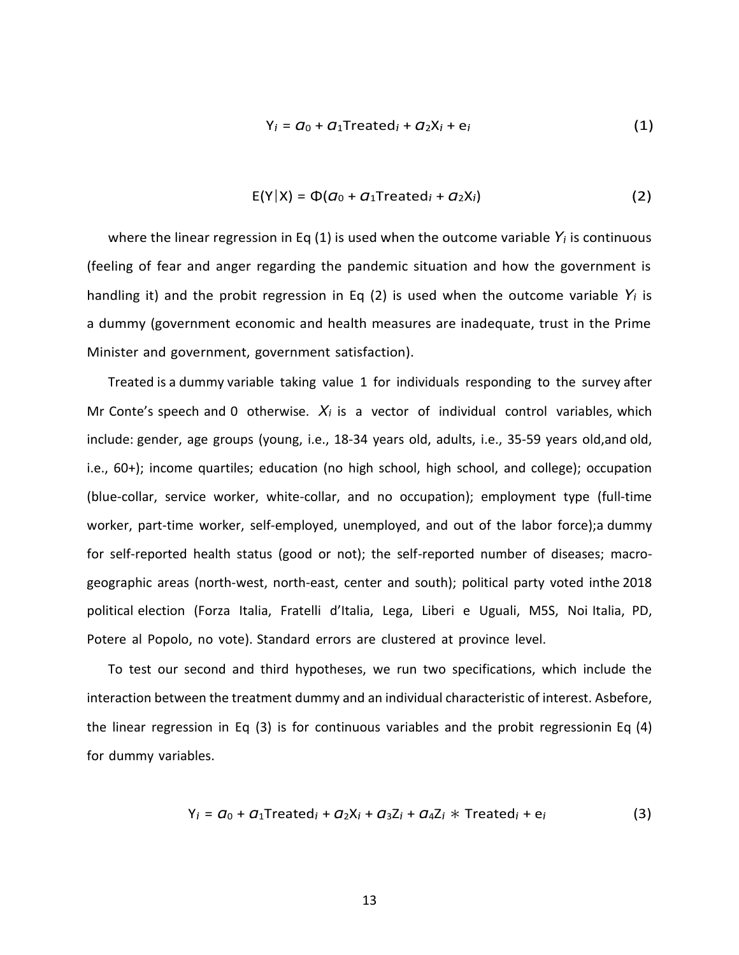$$
Y_i = \mathbf{G}_0 + \mathbf{G}_1 \text{Treated}_i + \mathbf{G}_2 X_i + \mathbf{e}_i \tag{1}
$$

$$
E(Y|X) = \Phi(a_0 + a_1 \text{Treated}_i + a_2 X_i)
$$
 (2)

where the linear regression in Eq (1) is used when the outcome variable  $Y_i$  is continuous (feeling of fear and anger regarding the pandemic situation and how the government is handling it) and the probit regression in Eq (2) is used when the outcome variable  $Y_i$  is a dummy (government economic and health measures are inadequate, trust in the Prime Minister and government, government satisfaction).

Treated is a dummy variable taking value 1 for individuals responding to the survey after Mr Conte's speech and 0 otherwise.  $X_i$  is a vector of individual control variables, which include: gender, age groups (young, i.e., 18-34 years old, adults, i.e., 35-59 years old,and old, i.e., 60+); income quartiles; education (no high school, high school, and college); occupation (blue-collar, service worker, white-collar, and no occupation); employment type (full-time worker, part-time worker, self-employed, unemployed, and out of the labor force);a dummy for self-reported health status (good or not); the self-reported number of diseases; macrogeographic areas (north-west, north-east, center and south); political party voted inthe 2018 political election (Forza Italia, Fratelli d'Italia, Lega, Liberi e Uguali, M5S, Noi Italia, PD, Potere al Popolo, no vote). Standard errors are clustered at province level.

To test our second and third hypotheses, we run two specifications, which include the interaction between the treatment dummy and an individual characteristic of interest. Asbefore, the linear regression in Eq (3) is for continuous variables and the probit regressionin Eq (4) for dummy variables.

$$
Y_i = a_0 + a_1 T
$$
reated<sub>i</sub> + a\_2X<sub>i</sub> + a\_3Z<sub>i</sub> + a\_4Z<sub>i</sub> \* Treated<sub>i</sub> + e<sub>i</sub> (3)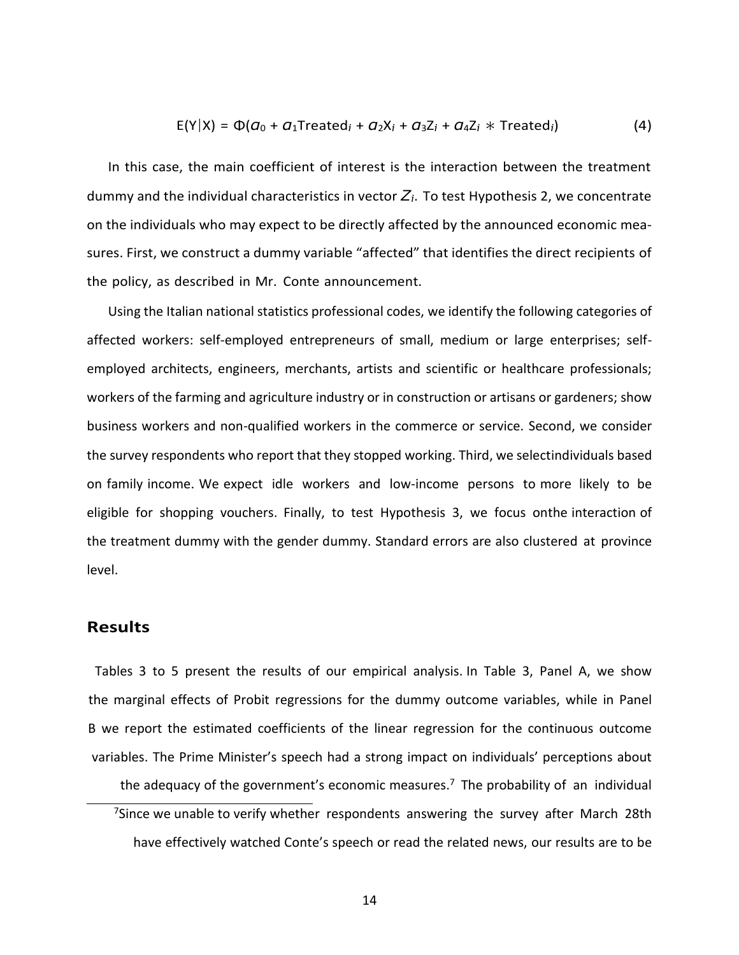$$
E(Y|X) = \Phi(a_0 + a_1 \text{Treated}_i + a_2 X_i + a_3 Z_i + a_4 Z_i \times \text{Treated}_i)
$$
\n(4)

In this case, the main coefficient of interest is the interaction between the treatment dummy and the individual characteristics in vector  $Z_i$ . To test Hypothesis 2, we concentrate on the individuals who may expect to be directly affected by the announced economic measures. First, we construct a dummy variable "affected" that identifies the direct recipients of the policy, as described in Mr. Conte announcement.

Using the Italian national statistics professional codes, we identify the following categories of affected workers: self-employed entrepreneurs of small, medium or large enterprises; selfemployed architects, engineers, merchants, artists and scientific or healthcare professionals; workers of the farming and agriculture industry or in construction or artisans or gardeners; show business workers and non-qualified workers in the commerce or service. Second, we consider the survey respondents who report that they stopped working. Third, we selectindividuals based on family income. We expect idle workers and low-income persons to more likely to be eligible for shopping vouchers. Finally, to test Hypothesis 3, we focus onthe interaction of the treatment dummy with the gender dummy. Standard errors are also clustered at province level.

#### **Results**

Tables 3 to 5 present the results of our empirical analysis. In Table 3, Panel A, we show the marginal effects of Probit regressions for the dummy outcome variables, while in Panel B we report the estimated coefficients of the linear regression for the continuous outcome variables. The Prime Minister's speech had a strong impact on individuals' perceptions about the adequacy of the government's economic measures.<sup>7</sup> The probability of an individual <sup>7</sup>Since we unable to verify whether respondents answering the survey after March 28th have effectively watched Conte's speech or read the related news, our results are to be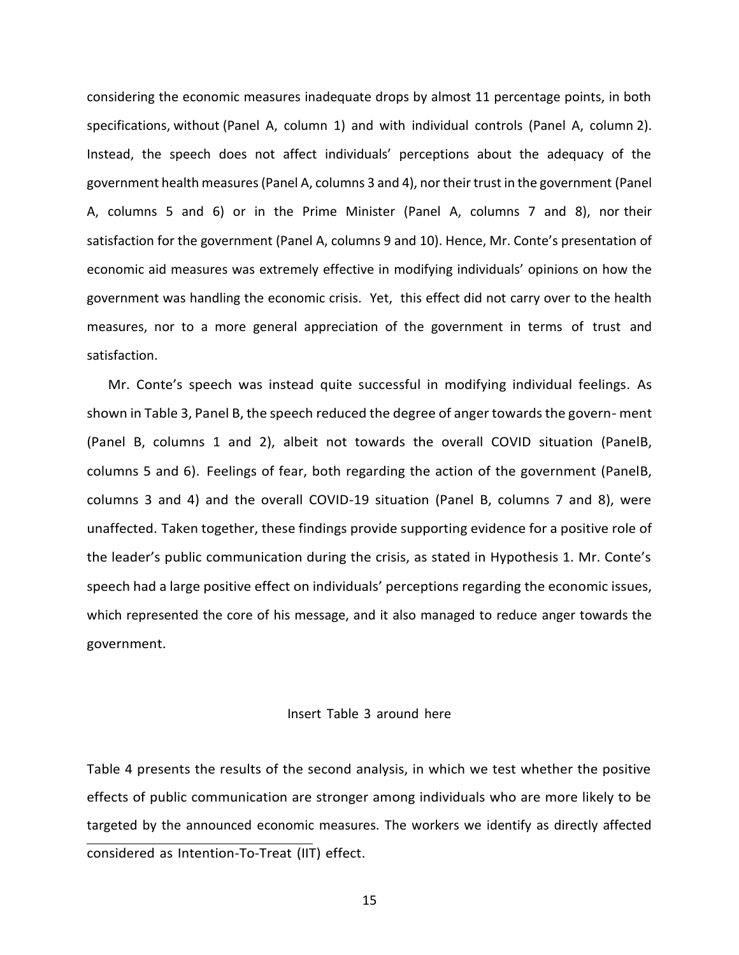considering the economic measures inadequate drops by almost 11 percentage points, in both specifications, without (Panel A, column 1) and with individual controls (Panel A, column 2). Instead, the speech does not affect individuals' perceptions about the adequacy of the government health measures (Panel A, columns 3 and 4), nor their trust in the government (Panel A, columns 5 and 6) or in the Prime Minister (Panel A, columns 7 and 8), nor their satisfaction for the government (Panel A, columns 9 and 10). Hence, Mr. Conte's presentation of economic aid measures was extremely effective in modifying individuals' opinions on how the government was handling the economic crisis. Yet, this effect did not carry over to the health measures, nor to a more general appreciation of the government in terms of trust and satisfaction.

Mr. Conte's speech was instead quite successful in modifying individual feelings. As shown in Table 3, Panel B, the speech reduced the degree of anger towards the govern- ment (Panel B, columns 1 and 2), albeit not towards the overall COVID situation (PanelB, columns 5 and 6). Feelings of fear, both regarding the action of the government (PanelB, columns 3 and 4) and the overall COVID-19 situation (Panel B, columns 7 and 8), were unaffected. Taken together, these findings provide supporting evidence for a positive role of the leader's public communication during the crisis, as stated in Hypothesis 1. Mr. Conte's speech had a large positive effect on individuals' perceptions regarding the economic issues, which represented the core of his message, and it also managed to reduce anger towards the government.

#### Insert Table 3 around here

Table 4 presents the results of the second analysis, in which we test whether the positive effects of public communication are stronger among individuals who are more likely to be targeted by the announced economic measures. The workers we identify as directly affected considered as Intention-To-Treat (IIT) effect.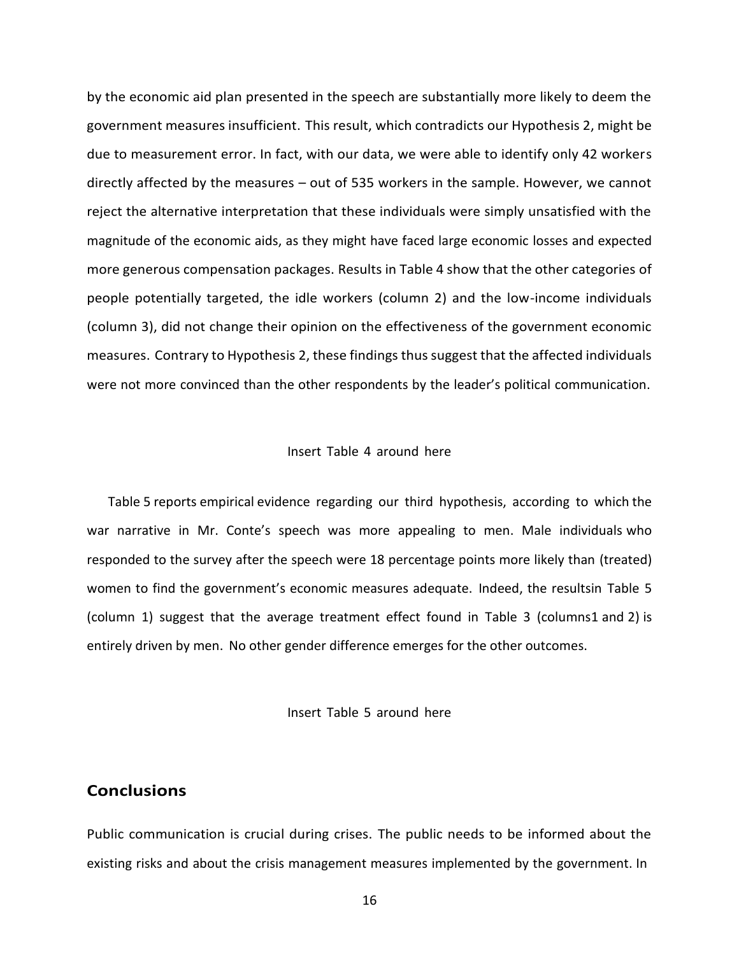by the economic aid plan presented in the speech are substantially more likely to deem the government measures insufficient. This result, which contradicts our Hypothesis 2, might be due to measurement error. In fact, with our data, we were able to identify only 42 workers directly affected by the measures – out of 535 workers in the sample. However, we cannot reject the alternative interpretation that these individuals were simply unsatisfied with the magnitude of the economic aids, as they might have faced large economic losses and expected more generous compensation packages. Results in Table 4 show that the other categories of people potentially targeted, the idle workers (column 2) and the low-income individuals (column 3), did not change their opinion on the effectiveness of the government economic measures. Contrary to Hypothesis 2, these findings thus suggest that the affected individuals were not more convinced than the other respondents by the leader's political communication.

#### Insert Table 4 around here

Table 5 reports empirical evidence regarding our third hypothesis, according to which the war narrative in Mr. Conte's speech was more appealing to men. Male individuals who responded to the survey after the speech were 18 percentage points more likely than (treated) women to find the government's economic measures adequate. Indeed, the resultsin Table 5 (column 1) suggest that the average treatment effect found in Table 3 (columns1 and 2) is entirely driven by men. No other gender difference emerges for the other outcomes.

#### Insert Table 5 around here

# **Conclusions**

Public communication is crucial during crises. The public needs to be informed about the existing risks and about the crisis management measures implemented by the government. In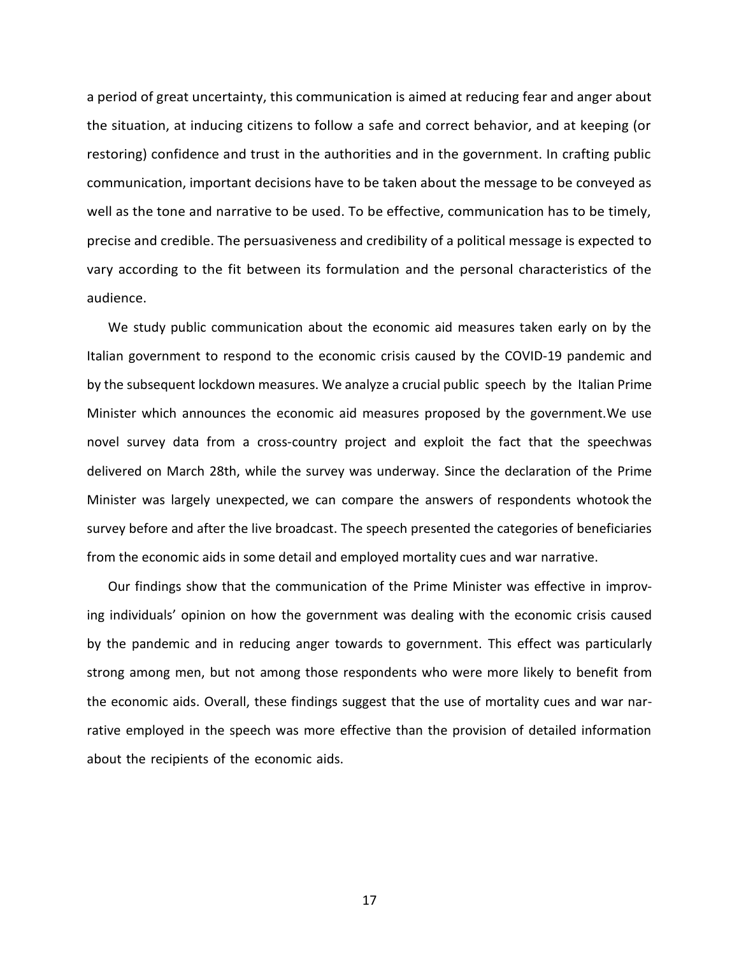a period of great uncertainty, this communication is aimed at reducing fear and anger about the situation, at inducing citizens to follow a safe and correct behavior, and at keeping (or restoring) confidence and trust in the authorities and in the government. In crafting public communication, important decisions have to be taken about the message to be conveyed as well as the tone and narrative to be used. To be effective, communication has to be timely, precise and credible. The persuasiveness and credibility of a political message is expected to vary according to the fit between its formulation and the personal characteristics of the audience.

We study public communication about the economic aid measures taken early on by the Italian government to respond to the economic crisis caused by the COVID-19 pandemic and by the subsequent lockdown measures. We analyze a crucial public speech by the Italian Prime Minister which announces the economic aid measures proposed by the government.We use novel survey data from a cross-country project and exploit the fact that the speechwas delivered on March 28th, while the survey was underway. Since the declaration of the Prime Minister was largely unexpected, we can compare the answers of respondents whotook the survey before and after the live broadcast. The speech presented the categories of beneficiaries from the economic aids in some detail and employed mortality cues and war narrative.

Our findings show that the communication of the Prime Minister was effective in improving individuals' opinion on how the government was dealing with the economic crisis caused by the pandemic and in reducing anger towards to government. This effect was particularly strong among men, but not among those respondents who were more likely to benefit from the economic aids. Overall, these findings suggest that the use of mortality cues and war narrative employed in the speech was more effective than the provision of detailed information about the recipients of the economic aids.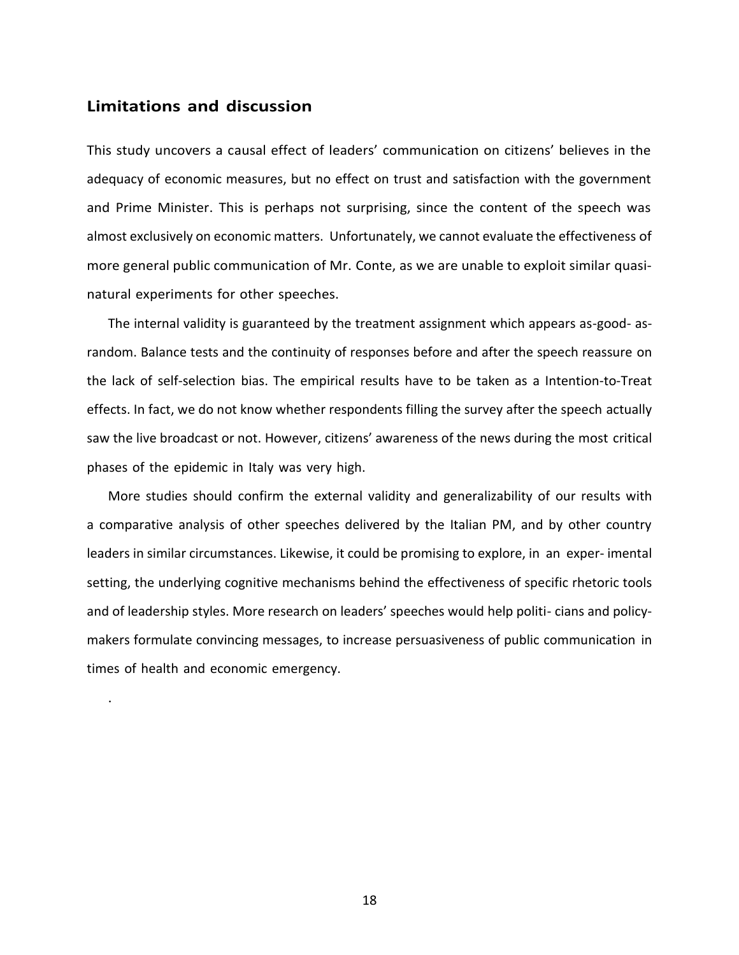# **Limitations and discussion**

.

This study uncovers a causal effect of leaders' communication on citizens' believes in the adequacy of economic measures, but no effect on trust and satisfaction with the government and Prime Minister. This is perhaps not surprising, since the content of the speech was almost exclusively on economic matters. Unfortunately, we cannot evaluate the effectiveness of more general public communication of Mr. Conte, as we are unable to exploit similar quasinatural experiments for other speeches.

The internal validity is guaranteed by the treatment assignment which appears as-good- asrandom. Balance tests and the continuity of responses before and after the speech reassure on the lack of self-selection bias. The empirical results have to be taken as a Intention-to-Treat effects. In fact, we do not know whether respondents filling the survey after the speech actually saw the live broadcast or not. However, citizens' awareness of the news during the most critical phases of the epidemic in Italy was very high.

More studies should confirm the external validity and generalizability of our results with a comparative analysis of other speeches delivered by the Italian PM, and by other country leaders in similar circumstances. Likewise, it could be promising to explore, in an exper- imental setting, the underlying cognitive mechanisms behind the effectiveness of specific rhetoric tools and of leadership styles. More research on leaders' speeches would help politi- cians and policymakers formulate convincing messages, to increase persuasiveness of public communication in times of health and economic emergency.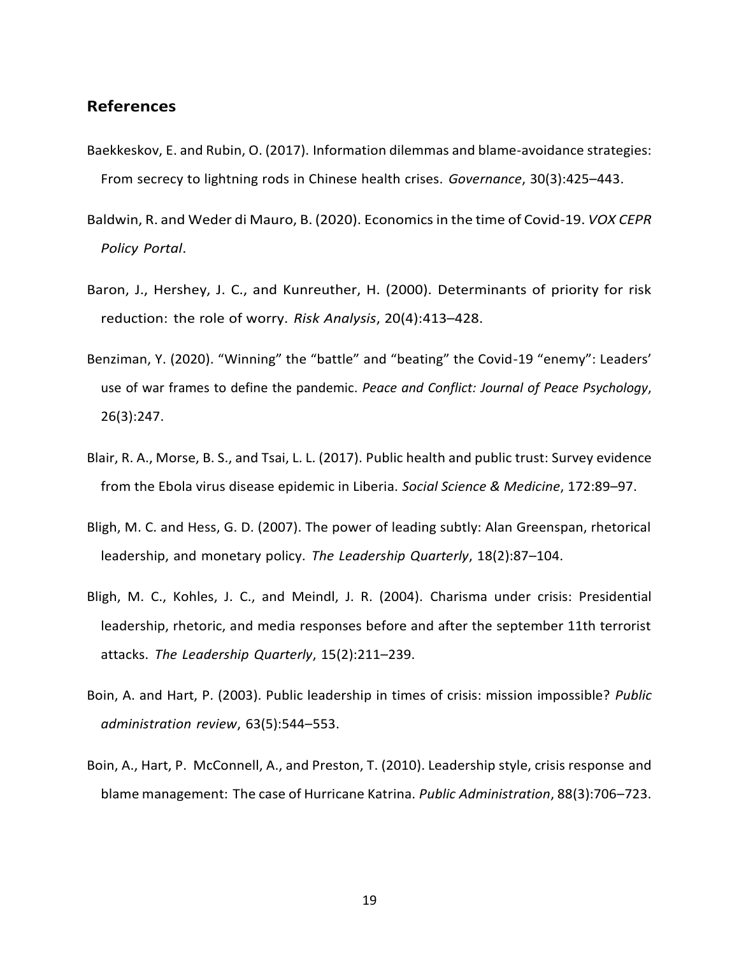# **References**

- Baekkeskov, E. and Rubin, O. (2017). Information dilemmas and blame-avoidance strategies: From secrecy to lightning rods in Chinese health crises. *Governance*, 30(3):425–443.
- Baldwin, R. and Weder di Mauro, B. (2020). Economics in the time of Covid-19. *VOX CEPR Policy Portal*.
- Baron, J., Hershey, J. C., and Kunreuther, H. (2000). Determinants of priority for risk reduction: the role of worry. *Risk Analysis*, 20(4):413–428.
- Benziman, Y. (2020). "Winning" the "battle" and "beating" the Covid-19 "enemy": Leaders' use of war frames to define the pandemic. *Peace and Conflict: Journal of Peace Psychology*, 26(3):247.
- Blair, R. A., Morse, B. S., and Tsai, L. L. (2017). Public health and public trust: Survey evidence from the Ebola virus disease epidemic in Liberia. *Social Science & Medicine*, 172:89–97.
- Bligh, M. C. and Hess, G. D. (2007). The power of leading subtly: Alan Greenspan, rhetorical leadership, and monetary policy. *The Leadership Quarterly*, 18(2):87–104.
- Bligh, M. C., Kohles, J. C., and Meindl, J. R. (2004). Charisma under crisis: Presidential leadership, rhetoric, and media responses before and after the september 11th terrorist attacks. *The Leadership Quarterly*, 15(2):211–239.
- Boin, A. and Hart, P. (2003). Public leadership in times of crisis: mission impossible? *Public administration review*, 63(5):544–553.
- Boin, A., Hart, P. McConnell, A., and Preston, T. (2010). Leadership style, crisis response and blame management: The case of Hurricane Katrina. *Public Administration*, 88(3):706–723.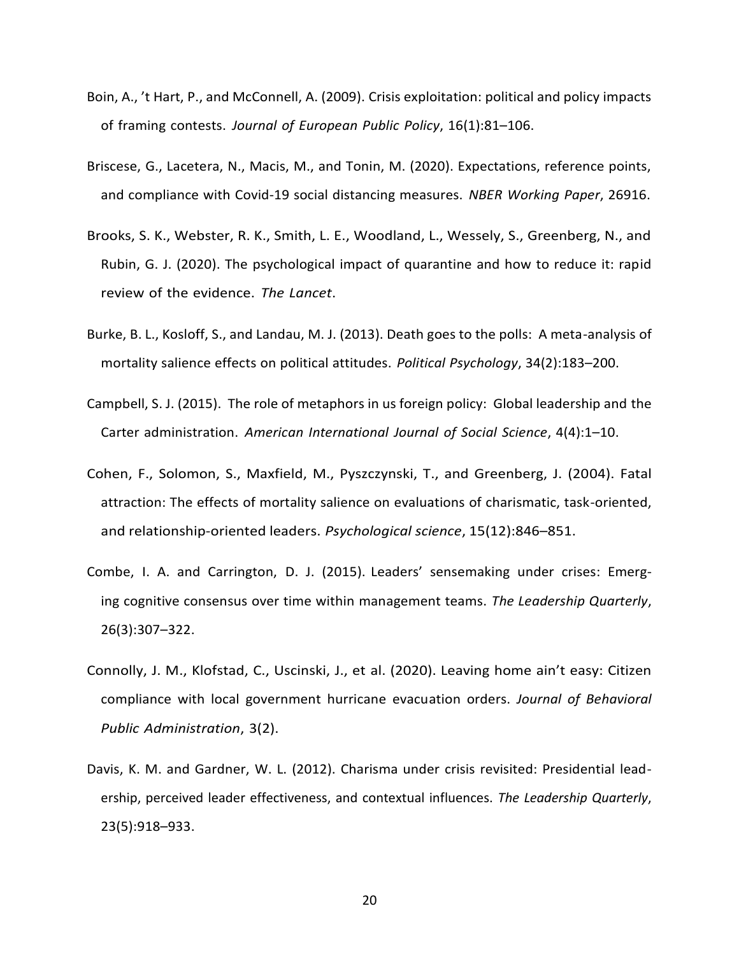- Boin, A., 't Hart, P., and McConnell, A. (2009). Crisis exploitation: political and policy impacts of framing contests. *Journal of European Public Policy*, 16(1):81–106.
- Briscese, G., Lacetera, N., Macis, M., and Tonin, M. (2020). Expectations, reference points, and compliance with Covid-19 social distancing measures. *NBER Working Paper*, 26916.
- Brooks, S. K., Webster, R. K., Smith, L. E., Woodland, L., Wessely, S., Greenberg, N., and Rubin, G. J. (2020). The psychological impact of quarantine and how to reduce it: rapid review of the evidence. *The Lancet*.
- Burke, B. L., Kosloff, S., and Landau, M. J. (2013). Death goes to the polls: A meta-analysis of mortality salience effects on political attitudes. *Political Psychology*, 34(2):183–200.
- Campbell, S. J. (2015). The role of metaphors in us foreign policy: Global leadership and the Carter administration. *American International Journal of Social Science*, 4(4):1–10.
- Cohen, F., Solomon, S., Maxfield, M., Pyszczynski, T., and Greenberg, J. (2004). Fatal attraction: The effects of mortality salience on evaluations of charismatic, task-oriented, and relationship-oriented leaders. *Psychological science*, 15(12):846–851.
- Combe, I. A. and Carrington, D. J. (2015). Leaders' sensemaking under crises: Emerging cognitive consensus over time within management teams. *The Leadership Quarterly*, 26(3):307–322.
- Connolly, J. M., Klofstad, C., Uscinski, J., et al. (2020). Leaving home ain't easy: Citizen compliance with local government hurricane evacuation orders. *Journal of Behavioral Public Administration*, 3(2).
- Davis, K. M. and Gardner, W. L. (2012). Charisma under crisis revisited: Presidential leadership, perceived leader effectiveness, and contextual influences. *The Leadership Quarterly*, 23(5):918–933.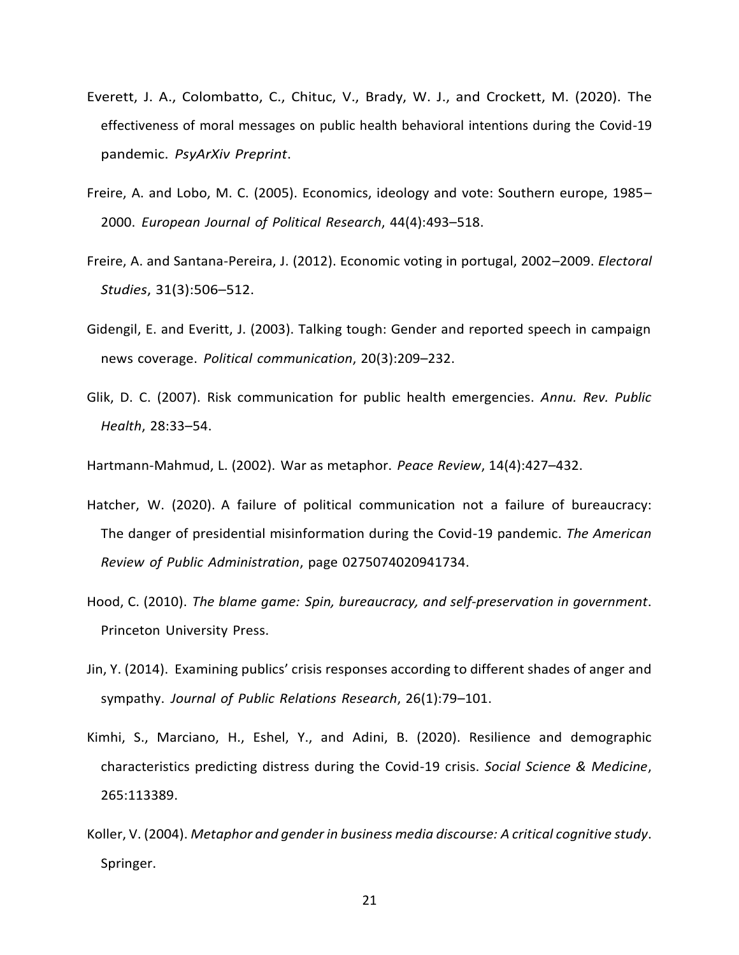- Everett, J. A., Colombatto, C., Chituc, V., Brady, W. J., and Crockett, M. (2020). The effectiveness of moral messages on public health behavioral intentions during the Covid-19 pandemic. *PsyArXiv Preprint*.
- Freire, A. and Lobo, M. C. (2005). Economics, ideology and vote: Southern europe, 1985– 2000. *European Journal of Political Research*, 44(4):493–518.
- Freire, A. and Santana-Pereira, J. (2012). Economic voting in portugal, 2002–2009. *Electoral Studies*, 31(3):506–512.
- Gidengil, E. and Everitt, J. (2003). Talking tough: Gender and reported speech in campaign news coverage. *Political communication*, 20(3):209–232.
- Glik, D. C. (2007). Risk communication for public health emergencies. *Annu. Rev. Public Health*, 28:33–54.
- Hartmann-Mahmud, L. (2002). War as metaphor. *Peace Review*, 14(4):427–432.
- Hatcher, W. (2020). A failure of political communication not a failure of bureaucracy: The danger of presidential misinformation during the Covid-19 pandemic. *The American Review of Public Administration*, page 0275074020941734.
- Hood, C. (2010). *The blame game: Spin, bureaucracy, and self-preservation in government*. Princeton University Press.
- Jin, Y. (2014). Examining publics' crisis responses according to different shades of anger and sympathy. *Journal of Public Relations Research*, 26(1):79–101.
- Kimhi, S., Marciano, H., Eshel, Y., and Adini, B. (2020). Resilience and demographic characteristics predicting distress during the Covid-19 crisis. *Social Science & Medicine*, 265:113389.
- Koller, V. (2004). *Metaphor and gender in business media discourse: A critical cognitive study*. Springer.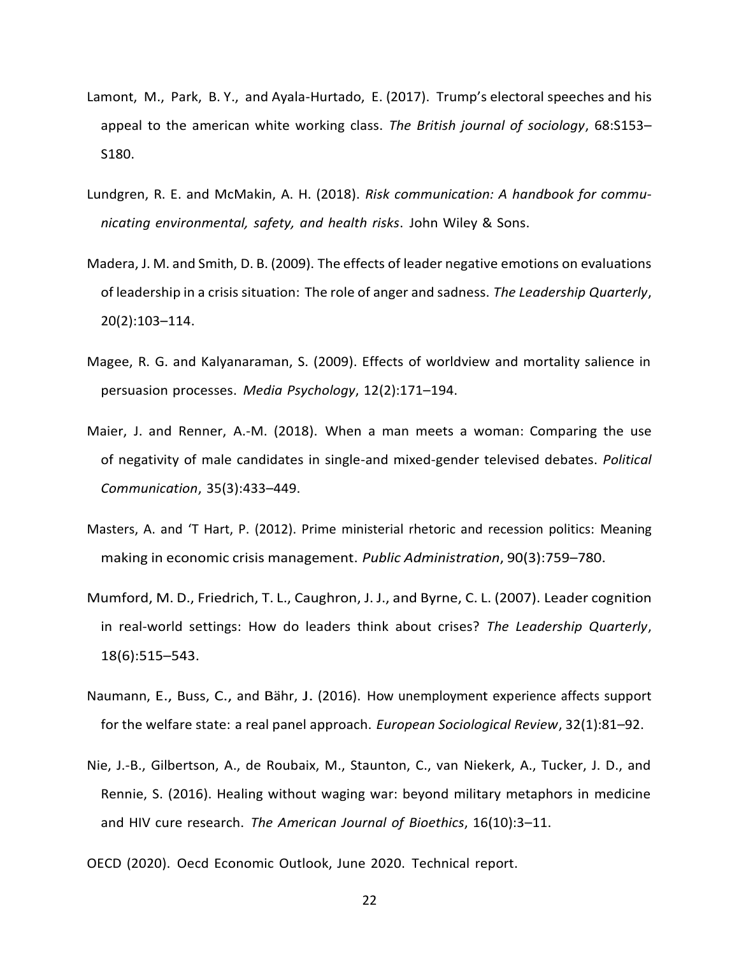- Lamont, M., Park, B. Y., and Ayala-Hurtado, E. (2017). Trump's electoral speeches and his appeal to the american white working class. *The British journal of sociology*, 68:S153– S180.
- Lundgren, R. E. and McMakin, A. H. (2018). *Risk communication: A handbook for communicating environmental, safety, and health risks*. John Wiley & Sons.
- Madera, J. M. and Smith, D. B. (2009). The effects of leader negative emotions on evaluations of leadership in a crisis situation: The role of anger and sadness. *The Leadership Quarterly*, 20(2):103–114.
- Magee, R. G. and Kalyanaraman, S. (2009). Effects of worldview and mortality salience in persuasion processes. *Media Psychology*, 12(2):171–194.
- Maier, J. and Renner, A.-M. (2018). When a man meets a woman: Comparing the use of negativity of male candidates in single-and mixed-gender televised debates. *Political Communication*, 35(3):433–449.
- Masters, A. and 'T Hart, P. (2012). Prime ministerial rhetoric and recession politics: Meaning making in economic crisis management. *Public Administration*, 90(3):759–780.
- Mumford, M. D., Friedrich, T. L., Caughron, J. J., and Byrne, C. L. (2007). Leader cognition in real-world settings: How do leaders think about crises? *The Leadership Quarterly*, 18(6):515–543.
- Naumann, E., Buss, C., and Bähr, J. (2016). How unemployment experience affects support for the welfare state: a real panel approach. *European Sociological Review*, 32(1):81–92.
- Nie, J.-B., Gilbertson, A., de Roubaix, M., Staunton, C., van Niekerk, A., Tucker, J. D., and Rennie, S. (2016). Healing without waging war: beyond military metaphors in medicine and HIV cure research. *The American Journal of Bioethics*, 16(10):3–11.
- OECD (2020). Oecd Economic Outlook, June 2020. Technical report.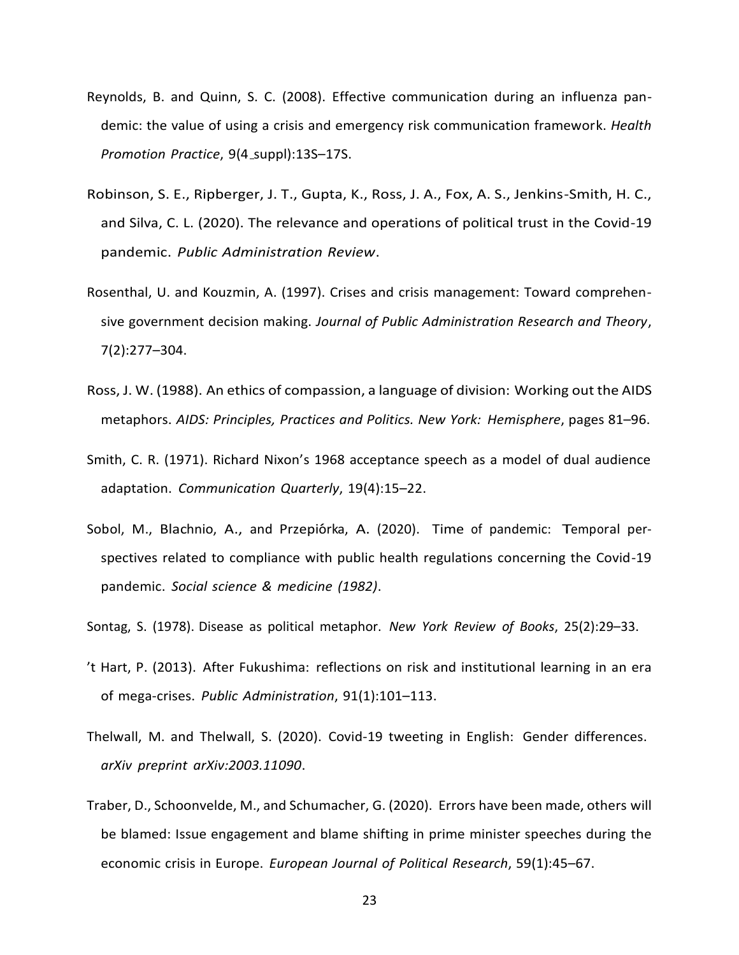- Reynolds, B. and Quinn, S. C. (2008). Effective communication during an influenza pandemic: the value of using a crisis and emergency risk communication framework. *Health Promotion Practice*, 9(4 suppl):13S–17S.
- Robinson, S. E., Ripberger, J. T., Gupta, K., Ross, J. A., Fox, A. S., Jenkins-Smith, H. C., and Silva, C. L. (2020). The relevance and operations of political trust in the Covid-19 pandemic. *Public Administration Review*.
- Rosenthal, U. and Kouzmin, A. (1997). Crises and crisis management: Toward comprehensive government decision making. *Journal of Public Administration Research and Theory*, 7(2):277–304.
- Ross, J. W. (1988). An ethics of compassion, a language of division: Working out the AIDS metaphors. *AIDS: Principles, Practices and Politics. New York: Hemisphere*, pages 81–96.
- Smith, C. R. (1971). Richard Nixon's 1968 acceptance speech as a model of dual audience adaptation. *Communication Quarterly*, 19(4):15–22.
- Sobol, M., Blachnio, A., and Przepiórka, A. (2020). Time of pandemic: Temporal perspectives related to compliance with public health regulations concerning the Covid-19 pandemic. *Social science & medicine (1982)*.
- Sontag, S. (1978). Disease as political metaphor. *New York Review of Books*, 25(2):29–33.
- 't Hart, P. (2013). After Fukushima: reflections on risk and institutional learning in an era of mega-crises. *Public Administration*, 91(1):101–113.
- Thelwall, M. and Thelwall, S. (2020). Covid-19 tweeting in English: Gender differences. *arXiv preprint arXiv:2003.11090*.
- Traber, D., Schoonvelde, M., and Schumacher, G. (2020). Errors have been made, others will be blamed: Issue engagement and blame shifting in prime minister speeches during the economic crisis in Europe. *European Journal of Political Research*, 59(1):45–67.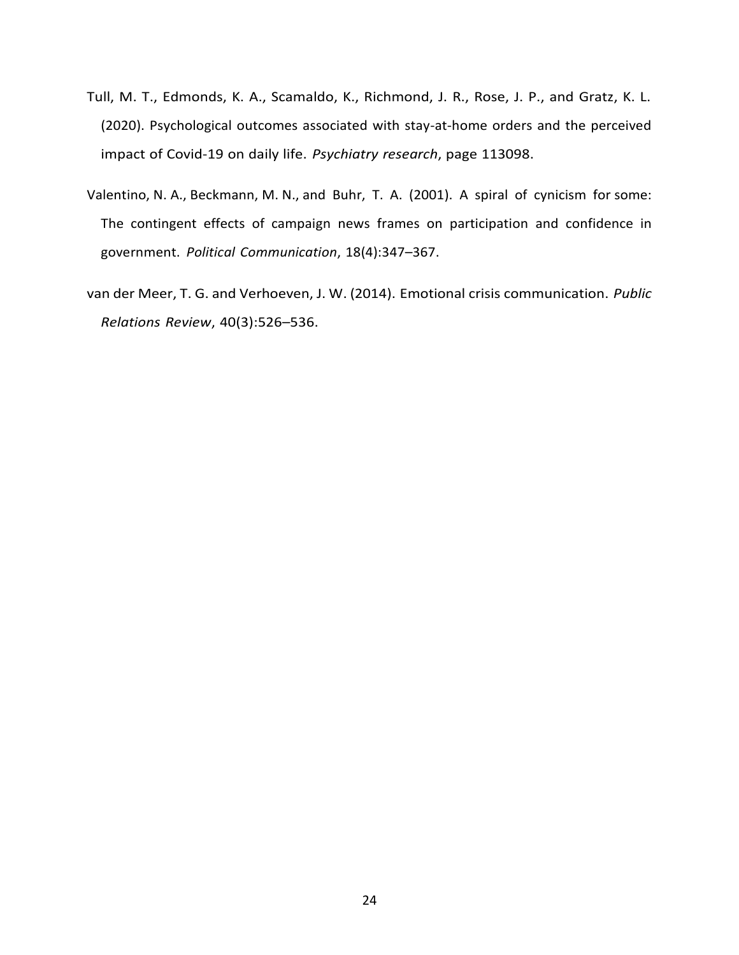- Tull, M. T., Edmonds, K. A., Scamaldo, K., Richmond, J. R., Rose, J. P., and Gratz, K. L. (2020). Psychological outcomes associated with stay-at-home orders and the perceived impact of Covid-19 on daily life. *Psychiatry research*, page 113098.
- Valentino, N. A., Beckmann, M. N., and Buhr, T. A. (2001). A spiral of cynicism for some: The contingent effects of campaign news frames on participation and confidence in government. *Political Communication*, 18(4):347–367.
- van der Meer, T. G. and Verhoeven, J. W. (2014). Emotional crisis communication. *Public Relations Review*, 40(3):526–536.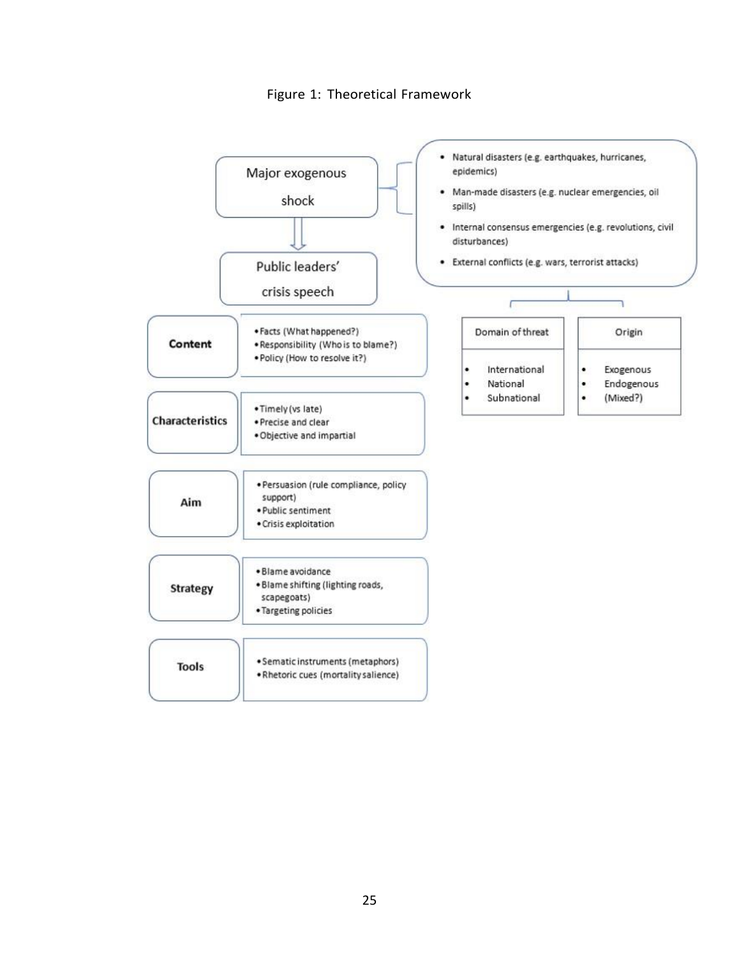Figure 1: Theoretical Framework

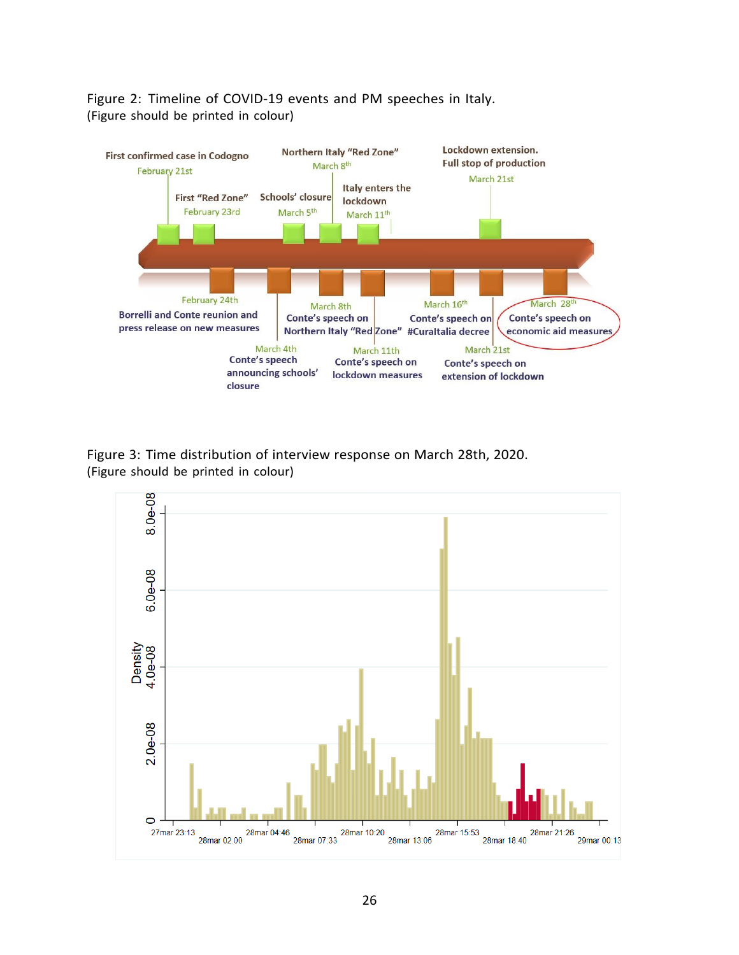



Figure 3: Time distribution of interview response on March 28th, 2020. (Figure should be printed in colour)

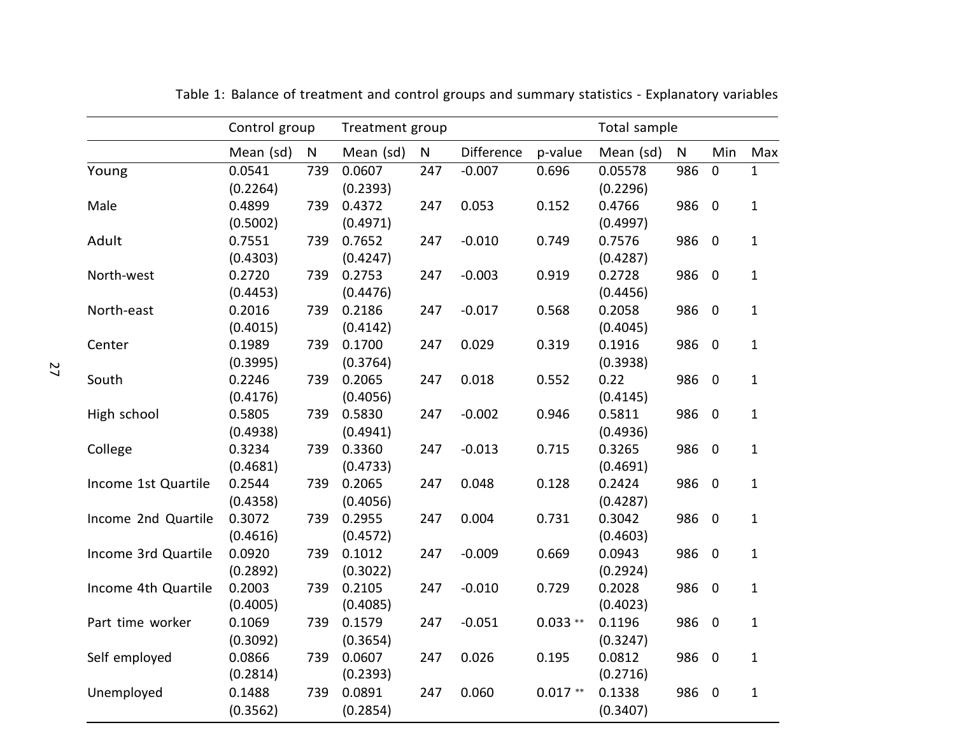|                     | Control group      |     | Treatment group    |              |            |           | Total sample        |           |                         |              |
|---------------------|--------------------|-----|--------------------|--------------|------------|-----------|---------------------|-----------|-------------------------|--------------|
|                     | Mean (sd)          | N   | Mean (sd)          | $\mathsf{N}$ | Difference | p-value   | Mean (sd)           | ${\sf N}$ | Min                     | Max          |
| Young               | 0.0541<br>(0.2264) | 739 | 0.0607<br>(0.2393) | 247          | $-0.007$   | 0.696     | 0.05578<br>(0.2296) | 986       | $\pmb{0}$               | $\mathbf{1}$ |
| Male                | 0.4899<br>(0.5002) | 739 | 0.4372<br>(0.4971) | 247          | 0.053      | 0.152     | 0.4766<br>(0.4997)  | 986       | $\overline{\mathbf{0}}$ | $\mathbf{1}$ |
| Adult               | 0.7551<br>(0.4303) | 739 | 0.7652<br>(0.4247) | 247          | $-0.010$   | 0.749     | 0.7576<br>(0.4287)  | 986 0     |                         | $\mathbf{1}$ |
| North-west          | 0.2720<br>(0.4453) | 739 | 0.2753<br>(0.4476) | 247          | $-0.003$   | 0.919     | 0.2728<br>(0.4456)  | 986 0     |                         | $\mathbf{1}$ |
| North-east          | 0.2016<br>(0.4015) | 739 | 0.2186<br>(0.4142) | 247          | $-0.017$   | 0.568     | 0.2058<br>(0.4045)  | 986       | $\overline{\mathbf{0}}$ | $\mathbf 1$  |
| Center              | 0.1989<br>(0.3995) | 739 | 0.1700<br>(0.3764) | 247          | 0.029      | 0.319     | 0.1916<br>(0.3938)  | 986 0     |                         | $\mathbf{1}$ |
| South               | 0.2246<br>(0.4176) | 739 | 0.2065<br>(0.4056) | 247          | 0.018      | 0.552     | 0.22<br>(0.4145)    | 986 0     |                         | $\mathbf 1$  |
| High school         | 0.5805<br>(0.4938) | 739 | 0.5830<br>(0.4941) | 247          | $-0.002$   | 0.946     | 0.5811<br>(0.4936)  | 986 0     |                         | $\mathbf{1}$ |
| College             | 0.3234<br>(0.4681) | 739 | 0.3360<br>(0.4733) | 247          | $-0.013$   | 0.715     | 0.3265<br>(0.4691)  | 986 0     |                         | $\mathbf{1}$ |
| Income 1st Quartile | 0.2544<br>(0.4358) | 739 | 0.2065<br>(0.4056) | 247          | 0.048      | 0.128     | 0.2424<br>(0.4287)  | 986 0     |                         | $1\,$        |
| Income 2nd Quartile | 0.3072<br>(0.4616) | 739 | 0.2955<br>(0.4572) | 247          | 0.004      | 0.731     | 0.3042<br>(0.4603)  | 986       | $\overline{\mathbf{0}}$ | $\mathbf{1}$ |
| Income 3rd Quartile | 0.0920<br>(0.2892) | 739 | 0.1012<br>(0.3022) | 247          | $-0.009$   | 0.669     | 0.0943<br>(0.2924)  | 986 0     |                         | $\mathbf 1$  |
| Income 4th Quartile | 0.2003<br>(0.4005) | 739 | 0.2105<br>(0.4085) | 247          | $-0.010$   | 0.729     | 0.2028<br>(0.4023)  | 986 0     |                         | $\mathbf 1$  |
| Part time worker    | 0.1069<br>(0.3092) | 739 | 0.1579<br>(0.3654) | 247          | $-0.051$   | $0.033**$ | 0.1196<br>(0.3247)  | 986 0     |                         | $\mathbf{1}$ |
| Self employed       | 0.0866<br>(0.2814) | 739 | 0.0607<br>(0.2393) | 247          | 0.026      | 0.195     | 0.0812<br>(0.2716)  | 986 0     |                         | $\mathbf{1}$ |
| Unemployed          | 0.1488<br>(0.3562) | 739 | 0.0891<br>(0.2854) | 247          | 0.060      | $0.017**$ | 0.1338<br>(0.3407)  | 986       | $\overline{\mathbf{0}}$ | $\mathbf{1}$ |

Table 1: Balance of treatment and control groups and summary statistics - Explanatory variables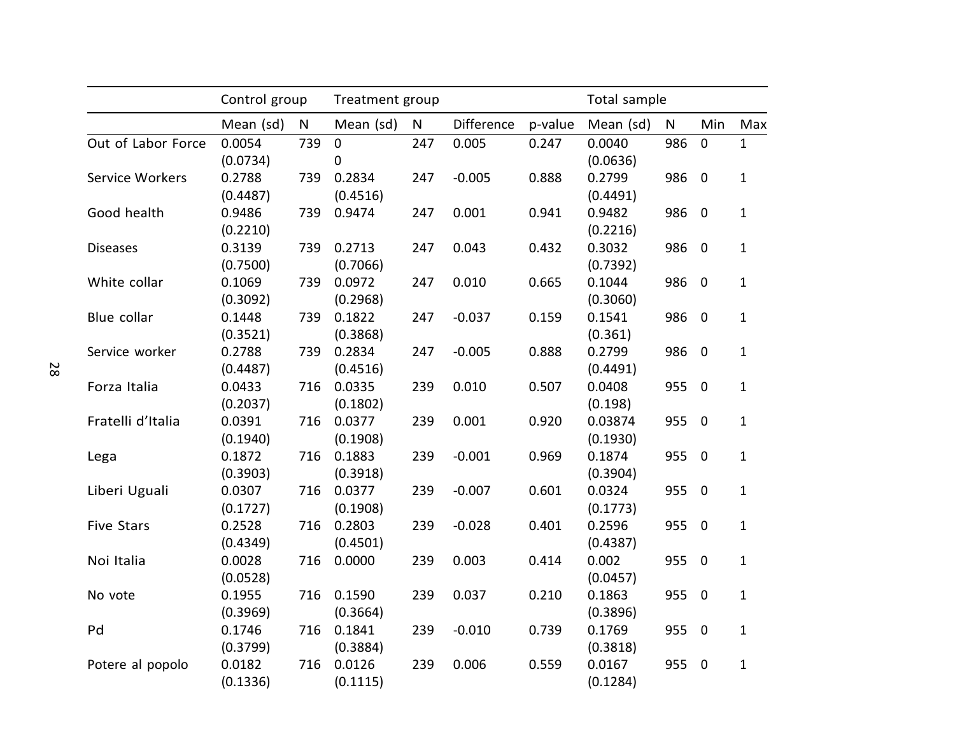|                    | Control group      |              | Treatment group    |              |            |         | Total sample        |              |                |              |
|--------------------|--------------------|--------------|--------------------|--------------|------------|---------|---------------------|--------------|----------------|--------------|
|                    | Mean (sd)          | $\mathsf{N}$ | Mean (sd)          | $\mathsf{N}$ | Difference | p-value | Mean (sd)           | $\mathsf{N}$ | Min            | Max          |
| Out of Labor Force | 0.0054<br>(0.0734) | 739          | $\mathbf 0$<br>0   | 247          | 0.005      | 0.247   | 0.0040<br>(0.0636)  | 986          | $\mathbf 0$    | 1            |
| Service Workers    | 0.2788<br>(0.4487) | 739          | 0.2834<br>(0.4516) | 247          | $-0.005$   | 0.888   | 0.2799<br>(0.4491)  | 986          | $\overline{0}$ | $\mathbf{1}$ |
| Good health        | 0.9486<br>(0.2210) | 739          | 0.9474             | 247          | 0.001      | 0.941   | 0.9482<br>(0.2216)  | 986          | $\mathbf 0$    | $\mathbf{1}$ |
| <b>Diseases</b>    | 0.3139<br>(0.7500) | 739          | 0.2713<br>(0.7066) | 247          | 0.043      | 0.432   | 0.3032<br>(0.7392)  | 986          | $\mathbf 0$    | $\mathbf{1}$ |
| White collar       | 0.1069<br>(0.3092) | 739          | 0.0972<br>(0.2968) | 247          | 0.010      | 0.665   | 0.1044<br>(0.3060)  | 986          | $\mathbf 0$    | $\mathbf{1}$ |
| Blue collar        | 0.1448<br>(0.3521) | 739          | 0.1822<br>(0.3868) | 247          | $-0.037$   | 0.159   | 0.1541<br>(0.361)   | 986          | $\mathbf 0$    | $\mathbf 1$  |
| Service worker     | 0.2788<br>(0.4487) | 739          | 0.2834<br>(0.4516) | 247          | $-0.005$   | 0.888   | 0.2799<br>(0.4491)  | 986          | $\overline{0}$ | $\mathbf{1}$ |
| Forza Italia       | 0.0433<br>(0.2037) | 716          | 0.0335<br>(0.1802) | 239          | 0.010      | 0.507   | 0.0408<br>(0.198)   | 955          | $\mathbf 0$    | $\mathbf{1}$ |
| Fratelli d'Italia  | 0.0391<br>(0.1940) | 716          | 0.0377<br>(0.1908) | 239          | 0.001      | 0.920   | 0.03874<br>(0.1930) | 955          | $\mathbf 0$    | $1\,$        |
| Lega               | 0.1872<br>(0.3903) | 716          | 0.1883<br>(0.3918) | 239          | $-0.001$   | 0.969   | 0.1874<br>(0.3904)  | 955          | $\mathbf 0$    | $\mathbf{1}$ |
| Liberi Uguali      | 0.0307<br>(0.1727) | 716          | 0.0377<br>(0.1908) | 239          | $-0.007$   | 0.601   | 0.0324<br>(0.1773)  | 955          | $\mathbf 0$    | $\mathbf{1}$ |
| <b>Five Stars</b>  | 0.2528<br>(0.4349) | 716          | 0.2803<br>(0.4501) | 239          | $-0.028$   | 0.401   | 0.2596<br>(0.4387)  | 955          | $\mathbf 0$    | 1            |
| Noi Italia         | 0.0028<br>(0.0528) | 716          | 0.0000             | 239          | 0.003      | 0.414   | 0.002<br>(0.0457)   | 955          | $\mathbf 0$    | $\mathbf{1}$ |
| No vote            | 0.1955<br>(0.3969) | 716          | 0.1590<br>(0.3664) | 239          | 0.037      | 0.210   | 0.1863<br>(0.3896)  | 955          | $\mathbf 0$    | $\mathbf{1}$ |
| Pd                 | 0.1746<br>(0.3799) | 716          | 0.1841<br>(0.3884) | 239          | $-0.010$   | 0.739   | 0.1769<br>(0.3818)  | 955          | $\mathbf 0$    | $\mathbf{1}$ |
| Potere al popolo   | 0.0182<br>(0.1336) | 716          | 0.0126<br>(0.1115) | 239          | 0.006      | 0.559   | 0.0167<br>(0.1284)  | 955          | $\mathbf 0$    | $\mathbf{1}$ |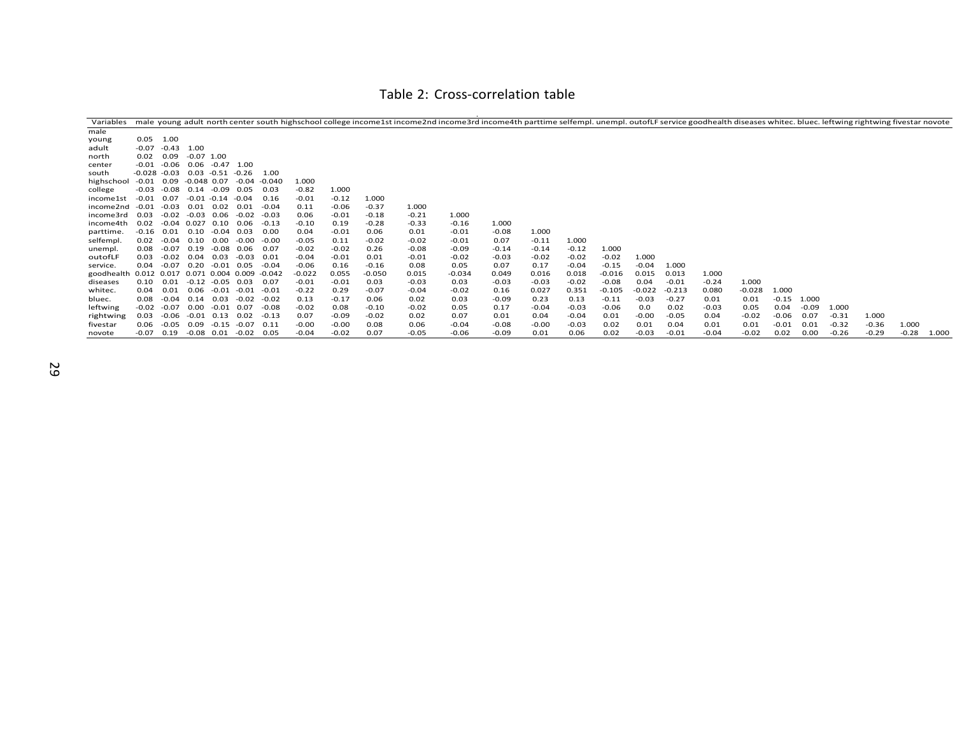#### Table 2: Cross-correlation table

| Variables  |                 |         |                |                      |                   |          |          |         |          |         | male young adult north center south highschool college income1st income2nd income3rd income4th parttime selfempl. unempl. outofLF service goodhealth diseases whitec. bluec. leftwing rightwing fivestar novote |         |         |         |          |          |          |         |          |         |         |         |         |         |       |
|------------|-----------------|---------|----------------|----------------------|-------------------|----------|----------|---------|----------|---------|-----------------------------------------------------------------------------------------------------------------------------------------------------------------------------------------------------------------|---------|---------|---------|----------|----------|----------|---------|----------|---------|---------|---------|---------|---------|-------|
| male       |                 |         |                |                      |                   |          |          |         |          |         |                                                                                                                                                                                                                 |         |         |         |          |          |          |         |          |         |         |         |         |         |       |
| young      | 0.05            | 1.00    |                |                      |                   |          |          |         |          |         |                                                                                                                                                                                                                 |         |         |         |          |          |          |         |          |         |         |         |         |         |       |
| adult      | $-0.07$         | $-0.43$ | 1.00           |                      |                   |          |          |         |          |         |                                                                                                                                                                                                                 |         |         |         |          |          |          |         |          |         |         |         |         |         |       |
| north      | 0.02            | 0.09    | $-0.07$ 1.00   |                      |                   |          |          |         |          |         |                                                                                                                                                                                                                 |         |         |         |          |          |          |         |          |         |         |         |         |         |       |
| center     | -0.01           | $-0.06$ | 0.06           | $-0.47$ 1.00         |                   |          |          |         |          |         |                                                                                                                                                                                                                 |         |         |         |          |          |          |         |          |         |         |         |         |         |       |
| south      | $-0.028 - 0.03$ |         |                | $0.03 - 0.51 - 0.26$ |                   | 1.00     |          |         |          |         |                                                                                                                                                                                                                 |         |         |         |          |          |          |         |          |         |         |         |         |         |       |
| highschool | $-0.01$         | 0.09    |                | $-0.048$ 0.07        | $-0.04$           | $-0.040$ | 1.000    |         |          |         |                                                                                                                                                                                                                 |         |         |         |          |          |          |         |          |         |         |         |         |         |       |
| college    | $-0.03$         | -0.08   | 0.14           | -0.09                | 0.05              | 0.03     | $-0.82$  | 1.000   |          |         |                                                                                                                                                                                                                 |         |         |         |          |          |          |         |          |         |         |         |         |         |       |
| income1st  | $-0.01$         | 0.07    | $-0.01 - 0.14$ |                      | $-0.04$           | 0.16     | $-0.01$  | $-0.12$ | 1.000    |         |                                                                                                                                                                                                                 |         |         |         |          |          |          |         |          |         |         |         |         |         |       |
| income2nd  | $-0.01$         | $-0.03$ | 0.01           | 0.02                 | 0.01              | $-0.04$  | 0.11     | $-0.06$ | $-0.37$  | 1.000   |                                                                                                                                                                                                                 |         |         |         |          |          |          |         |          |         |         |         |         |         |       |
| income3rd  | 0.03            | $-0.02$ | -0.03          | 0.06                 | $-0.02$           | $-0.03$  | 0.06     | $-0.01$ | $-0.18$  | $-0.21$ | 1.000                                                                                                                                                                                                           |         |         |         |          |          |          |         |          |         |         |         |         |         |       |
| income4th  | 0.02            | $-0.04$ | 0.027          | 0.10                 | 0.06              | -0.13    | $-0.10$  | 0.19    | $-0.28$  | $-0.33$ | $-0.16$                                                                                                                                                                                                         | 1.000   |         |         |          |          |          |         |          |         |         |         |         |         |       |
| parttime.  | $-0.16$         | 0.01    | 0.10           | $-0.04$              | 0.03              | 0.00     | 0.04     | $-0.01$ | 0.06     | 0.01    | $-0.01$                                                                                                                                                                                                         | $-0.08$ | 1.000   |         |          |          |          |         |          |         |         |         |         |         |       |
| selfempl   | 0.02            | $-0.04$ | 0.10           | 0.00                 | $-0.00$           | -0.00    | $-0.05$  | 0.11    | $-0.02$  | $-0.02$ | $-0.01$                                                                                                                                                                                                         | 0.07    | $-0.11$ | 1.000   |          |          |          |         |          |         |         |         |         |         |       |
| unempl.    | 0.08            | $-0.07$ | 0.19           | $-0.08$              | 0.06              | 0.07     | $-0.02$  | $-0.02$ | 0.26     | $-0.08$ | $-0.09$                                                                                                                                                                                                         | $-0.14$ | $-0.14$ | $-0.12$ | 1.000    |          |          |         |          |         |         |         |         |         |       |
| outofLF    | 0.03            | $-0.02$ | 0.04           | 0.03                 | $-0.03$           | 0.01     | $-0.04$  | $-0.01$ | 0.01     | $-0.01$ | $-0.02$                                                                                                                                                                                                         | $-0.03$ | $-0.02$ | $-0.02$ | $-0.02$  | 1.000    |          |         |          |         |         |         |         |         |       |
| service.   | 0.04            | $-0.07$ | 0.20           |                      | $-0.01$ 0.05      | $-0.04$  | $-0.06$  | 0.16    | $-0.16$  | 0.08    | 0.05                                                                                                                                                                                                            | 0.07    | 0.17    | $-0.04$ | $-0.15$  | $-0.04$  | 1.000    |         |          |         |         |         |         |         |       |
| goodhealth | 0.012 0.017     |         |                |                      | 0.071 0.004 0.009 | $-0.042$ | $-0.022$ | 0.055   | $-0.050$ | 0.015   | $-0.034$                                                                                                                                                                                                        | 0.049   | 0.016   | 0.018   | $-0.016$ | 0.015    | 0.013    | 1.000   |          |         |         |         |         |         |       |
| diseases   | 0.10            | 0.01    | $-0.12$        |                      | $-0.05$ 0.03      | 0.07     | $-0.01$  | $-0.01$ | 0.03     | $-0.03$ | 0.03                                                                                                                                                                                                            | $-0.03$ | $-0.03$ | $-0.02$ | $-0.08$  | 0.04     | $-0.01$  | $-0.24$ | 1.000    |         |         |         |         |         |       |
| whitec.    | 0.04            | 0.01    | 0.06           | $-0.01$              | $-0.01$           | $-0.01$  | $-0.22$  | 0.29    | $-0.07$  | $-0.04$ | $-0.02$                                                                                                                                                                                                         | 0.16    | 0.027   | 0.351   | $-0.105$ | $-0.022$ | $-0.213$ | 0.080   | $-0.028$ | 1.000   |         |         |         |         |       |
| bluec.     | 0.08            | $-0.04$ | 0.14           | 0.03                 | -0.02             | -0.02    | 0.13     | $-0.17$ | 0.06     | 0.02    | 0.03                                                                                                                                                                                                            | $-0.09$ | 0.23    | 0.13    | $-0.11$  | $-0.03$  | $-0.27$  | 0.01    | 0.01     | $-0.15$ | 1.000   |         |         |         |       |
| leftwing   | $-0.02$         | $-0.07$ | 0.00           | $-0.01$              | 0.07              | -0.08    | $-0.02$  | 0.08    | $-0.10$  | $-0.02$ | 0.05                                                                                                                                                                                                            | 0.17    | $-0.04$ | $-0.03$ | $-0.06$  | 0.0      | 0.02     | $-0.03$ | 0.05     | 0.04    | $-0.09$ | 1.000   |         |         |       |
| rightwing  | 0.03            | $-0.06$ |                | $-0.01$ $0.13$       | 0.02              | $-0.13$  | 0.07     | $-0.09$ | $-0.02$  | 0.02    | 0.07                                                                                                                                                                                                            | 0.01    | 0.04    | $-0.04$ | 0.01     | $-0.00$  | $-0.05$  | 0.04    | $-0.02$  | $-0.06$ | 0.07    | $-0.31$ | 1.000   |         |       |
| fivestar   | 0.06            | $-0.05$ | 0.09           | $-0.15$              | $-0.07$           | 0.11     | $-0.00$  | $-0.00$ | 0.08     | 0.06    | $-0.04$                                                                                                                                                                                                         | $-0.08$ | $-0.00$ | $-0.03$ | 0.02     | 0.01     | 0.04     | 0.01    | 0.01     | $-0.01$ | 0.01    | $-0.32$ | $-0.36$ | 1.000   |       |
| novote     | $-0.07$         | 0.19    |                | $-0.08$ 0.01         | $-0.02$           | 0.05     | $-0.04$  | $-0.02$ | 0.07     | $-0.05$ | $-0.06$                                                                                                                                                                                                         | $-0.09$ | 0.01    | 0.06    | 0.02     | $-0.03$  | $-0.01$  | $-0.04$ | $-0.02$  | 0.02    | 0.00    | $-0.26$ | $-0.29$ | $-0.28$ | 1.000 |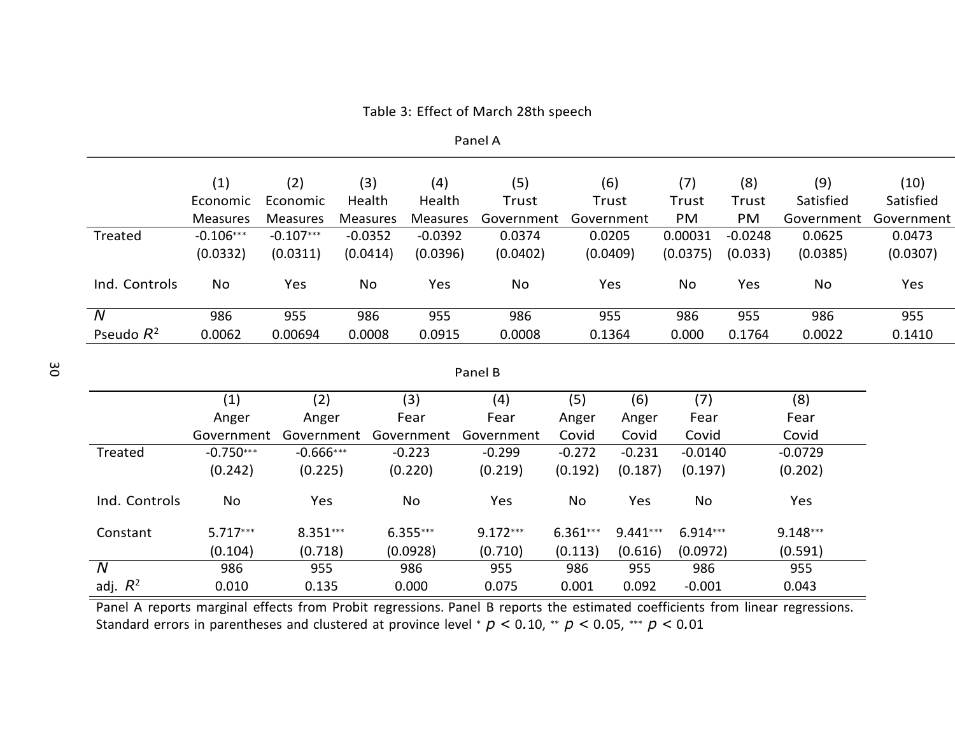|                | (1)             | (2)             | (3)             |            | (4)             | (5)        |            | (6)        | (7)        | (8)       | (9)        | (10)       |
|----------------|-----------------|-----------------|-----------------|------------|-----------------|------------|------------|------------|------------|-----------|------------|------------|
|                | Economic        | Economic        | Health          |            | Health          | Trust      |            | Trust      | Trust      | Trust     | Satisfied  | Satisfied  |
|                | <b>Measures</b> | <b>Measures</b> | <b>Measures</b> |            | <b>Measures</b> | Government |            | Government | PM         | PM        | Government | Government |
| Treated        | $-0.106***$     | $-0.107***$     | $-0.0352$       |            | $-0.0392$       | 0.0374     |            | 0.0205     | 0.00031    | $-0.0248$ | 0.0625     | 0.0473     |
|                | (0.0332)        | (0.0311)        | (0.0414)        |            | (0.0396)        | (0.0402)   |            | (0.0409)   | (0.0375)   | (0.033)   | (0.0385)   | (0.0307)   |
| Ind. Controls  | No              | Yes             | No              |            | Yes             | No         |            | Yes        | No         | Yes       | No         | Yes        |
| $\overline{N}$ | 986             | 955             | 986             |            | 955             | 986        |            | 955        | 986        | 955       | 986        | 955        |
| Pseudo $R^2$   | 0.0062          | 0.00694         | 0.0008          |            | 0.0915          | 0.0008     |            | 0.1364     | 0.000      | 0.1764    | 0.0022     | 0.1410     |
|                |                 |                 |                 |            |                 | Panel B    |            |            |            |           |            |            |
|                | (1)             | (2)             |                 | (3)        |                 | (4)        | (5)        | (6)        | (7)        |           | (8)        |            |
|                | Anger           | Anger           |                 | Fear       |                 | Fear       | Anger      | Anger      | Fear       |           | Fear       |            |
|                | Government      | Government      |                 | Government |                 | Government | Covid      | Covid      | Covid      |           | Covid      |            |
| Treated        | $-0.750***$     | $-0.666***$     |                 | $-0.223$   |                 | $-0.299$   | $-0.272$   | $-0.231$   | $-0.0140$  |           | $-0.0729$  |            |
|                | (0.242)         | (0.225)         |                 | (0.220)    |                 | (0.219)    | (0.192)    | (0.187)    | (0.197)    |           | (0.202)    |            |
| Ind. Controls  | No              | Yes             |                 | No         |                 | Yes        | No         | Yes        | No         |           | Yes        |            |
| Constant       | $5.717***$      | $8.351***$      |                 | $6.355***$ |                 | $9.172***$ | $6.361***$ | $9.441***$ | $6.914***$ |           | $9.148***$ |            |
|                | (0.104)         | (0.718)         |                 | (0.0928)   |                 | (0.710)    | (0.113)    | (0.616)    | (0.0972)   |           | (0.591)    |            |
| $\overline{N}$ | 986             | 955             |                 | 986        |                 | 955        | 986        | 955        | 986        |           | 955        |            |

Table 3: Effect of March 28th speech

Panel A

Panel A reports marginal effects from Probit regressions. Panel B reports the estimated coefficients from linear regressions. Standard errors in parentheses and clustered at province level <sup>∗</sup> *p <* 0*.*10, ∗∗ *p <* 0*.*05, ∗∗∗ *p <* 0*.*01

adj. *R*<sup>2</sup> 0.010 0.135 0.000 0.075 0.001 0.092 -0.001 0.043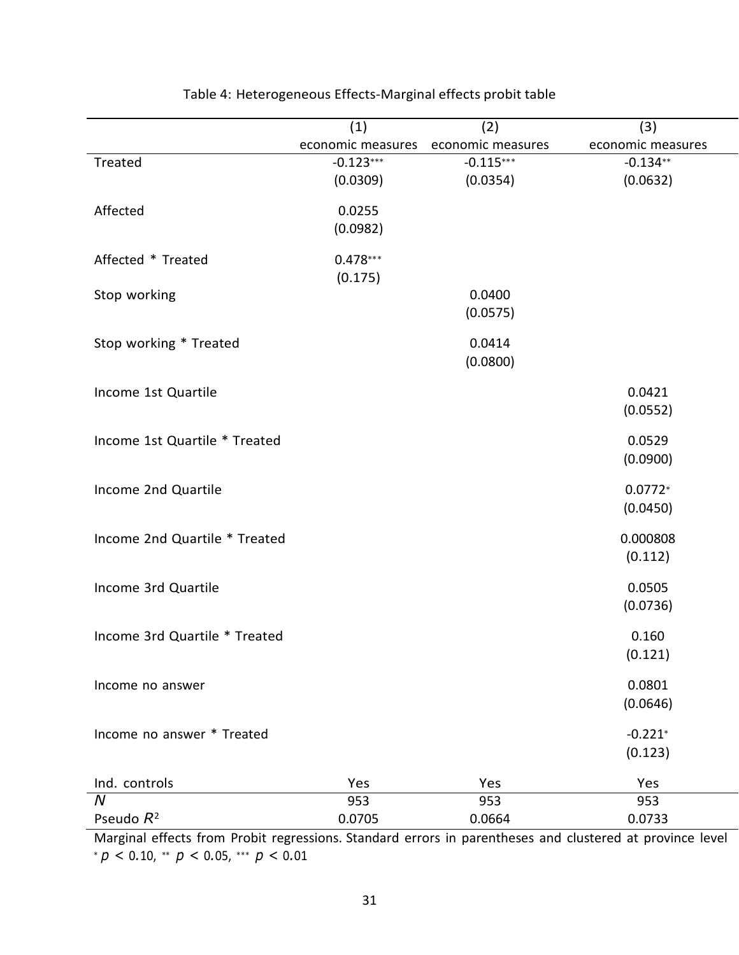| economic measures<br>economic measures<br>economic measures<br>$-0.123***$<br>Treated<br>$-0.115***$<br>$-0.134**$<br>(0.0309)<br>(0.0354)<br>(0.0632)<br>Affected<br>0.0255<br>(0.0982)<br>$0.478***$<br>Affected * Treated<br>(0.175)<br>Stop working<br>0.0400<br>(0.0575)<br>0.0414<br>Stop working * Treated<br>(0.0800)<br>0.0421<br>Income 1st Quartile<br>(0.0552)<br>Income 1st Quartile * Treated<br>0.0529<br>(0.0900)<br>Income 2nd Quartile<br>$0.0772*$<br>(0.0450)<br>Income 2nd Quartile * Treated<br>0.000808<br>(0.112)<br>0.0505<br>Income 3rd Quartile<br>(0.0736)<br>Income 3rd Quartile * Treated<br>0.160<br>(0.121)<br>0.0801<br>Income no answer<br>(0.0646)<br>Income no answer * Treated<br>$-0.221*$<br>(0.123)<br>Ind. controls<br>Yes<br>Yes<br>Yes<br>$\overline{N}$<br>953<br>953<br>953 |              | (1)    | (2)    | (3)    |
|--------------------------------------------------------------------------------------------------------------------------------------------------------------------------------------------------------------------------------------------------------------------------------------------------------------------------------------------------------------------------------------------------------------------------------------------------------------------------------------------------------------------------------------------------------------------------------------------------------------------------------------------------------------------------------------------------------------------------------------------------------------------------------------------------------------------------|--------------|--------|--------|--------|
|                                                                                                                                                                                                                                                                                                                                                                                                                                                                                                                                                                                                                                                                                                                                                                                                                          |              |        |        |        |
|                                                                                                                                                                                                                                                                                                                                                                                                                                                                                                                                                                                                                                                                                                                                                                                                                          |              |        |        |        |
|                                                                                                                                                                                                                                                                                                                                                                                                                                                                                                                                                                                                                                                                                                                                                                                                                          |              |        |        |        |
|                                                                                                                                                                                                                                                                                                                                                                                                                                                                                                                                                                                                                                                                                                                                                                                                                          |              |        |        |        |
|                                                                                                                                                                                                                                                                                                                                                                                                                                                                                                                                                                                                                                                                                                                                                                                                                          |              |        |        |        |
|                                                                                                                                                                                                                                                                                                                                                                                                                                                                                                                                                                                                                                                                                                                                                                                                                          |              |        |        |        |
|                                                                                                                                                                                                                                                                                                                                                                                                                                                                                                                                                                                                                                                                                                                                                                                                                          |              |        |        |        |
|                                                                                                                                                                                                                                                                                                                                                                                                                                                                                                                                                                                                                                                                                                                                                                                                                          |              |        |        |        |
|                                                                                                                                                                                                                                                                                                                                                                                                                                                                                                                                                                                                                                                                                                                                                                                                                          |              |        |        |        |
|                                                                                                                                                                                                                                                                                                                                                                                                                                                                                                                                                                                                                                                                                                                                                                                                                          |              |        |        |        |
|                                                                                                                                                                                                                                                                                                                                                                                                                                                                                                                                                                                                                                                                                                                                                                                                                          |              |        |        |        |
|                                                                                                                                                                                                                                                                                                                                                                                                                                                                                                                                                                                                                                                                                                                                                                                                                          |              |        |        |        |
|                                                                                                                                                                                                                                                                                                                                                                                                                                                                                                                                                                                                                                                                                                                                                                                                                          |              |        |        |        |
|                                                                                                                                                                                                                                                                                                                                                                                                                                                                                                                                                                                                                                                                                                                                                                                                                          |              |        |        |        |
|                                                                                                                                                                                                                                                                                                                                                                                                                                                                                                                                                                                                                                                                                                                                                                                                                          |              |        |        |        |
|                                                                                                                                                                                                                                                                                                                                                                                                                                                                                                                                                                                                                                                                                                                                                                                                                          |              |        |        |        |
|                                                                                                                                                                                                                                                                                                                                                                                                                                                                                                                                                                                                                                                                                                                                                                                                                          |              |        |        |        |
|                                                                                                                                                                                                                                                                                                                                                                                                                                                                                                                                                                                                                                                                                                                                                                                                                          |              |        |        |        |
|                                                                                                                                                                                                                                                                                                                                                                                                                                                                                                                                                                                                                                                                                                                                                                                                                          |              |        |        |        |
|                                                                                                                                                                                                                                                                                                                                                                                                                                                                                                                                                                                                                                                                                                                                                                                                                          |              |        |        |        |
|                                                                                                                                                                                                                                                                                                                                                                                                                                                                                                                                                                                                                                                                                                                                                                                                                          |              |        |        |        |
|                                                                                                                                                                                                                                                                                                                                                                                                                                                                                                                                                                                                                                                                                                                                                                                                                          |              |        |        |        |
|                                                                                                                                                                                                                                                                                                                                                                                                                                                                                                                                                                                                                                                                                                                                                                                                                          |              |        |        |        |
|                                                                                                                                                                                                                                                                                                                                                                                                                                                                                                                                                                                                                                                                                                                                                                                                                          |              |        |        |        |
|                                                                                                                                                                                                                                                                                                                                                                                                                                                                                                                                                                                                                                                                                                                                                                                                                          |              |        |        |        |
|                                                                                                                                                                                                                                                                                                                                                                                                                                                                                                                                                                                                                                                                                                                                                                                                                          |              |        |        |        |
|                                                                                                                                                                                                                                                                                                                                                                                                                                                                                                                                                                                                                                                                                                                                                                                                                          |              |        |        |        |
|                                                                                                                                                                                                                                                                                                                                                                                                                                                                                                                                                                                                                                                                                                                                                                                                                          |              |        |        |        |
|                                                                                                                                                                                                                                                                                                                                                                                                                                                                                                                                                                                                                                                                                                                                                                                                                          |              |        |        |        |
|                                                                                                                                                                                                                                                                                                                                                                                                                                                                                                                                                                                                                                                                                                                                                                                                                          |              |        |        |        |
|                                                                                                                                                                                                                                                                                                                                                                                                                                                                                                                                                                                                                                                                                                                                                                                                                          |              |        |        |        |
|                                                                                                                                                                                                                                                                                                                                                                                                                                                                                                                                                                                                                                                                                                                                                                                                                          |              |        |        |        |
|                                                                                                                                                                                                                                                                                                                                                                                                                                                                                                                                                                                                                                                                                                                                                                                                                          |              |        |        |        |
|                                                                                                                                                                                                                                                                                                                                                                                                                                                                                                                                                                                                                                                                                                                                                                                                                          |              |        |        |        |
|                                                                                                                                                                                                                                                                                                                                                                                                                                                                                                                                                                                                                                                                                                                                                                                                                          |              |        |        |        |
|                                                                                                                                                                                                                                                                                                                                                                                                                                                                                                                                                                                                                                                                                                                                                                                                                          |              |        |        |        |
|                                                                                                                                                                                                                                                                                                                                                                                                                                                                                                                                                                                                                                                                                                                                                                                                                          |              |        |        |        |
|                                                                                                                                                                                                                                                                                                                                                                                                                                                                                                                                                                                                                                                                                                                                                                                                                          | Pseudo $R^2$ | 0.0705 | 0.0664 | 0.0733 |

# Table 4: Heterogeneous Effects-Marginal effects probit table

Marginal effects from Probit regressions. Standard errors in parentheses and clustered at province level <sup>∗</sup> *p <* 0*.*10, ∗∗ *p <* 0*.*05, ∗∗∗ *p <* 0*.*01